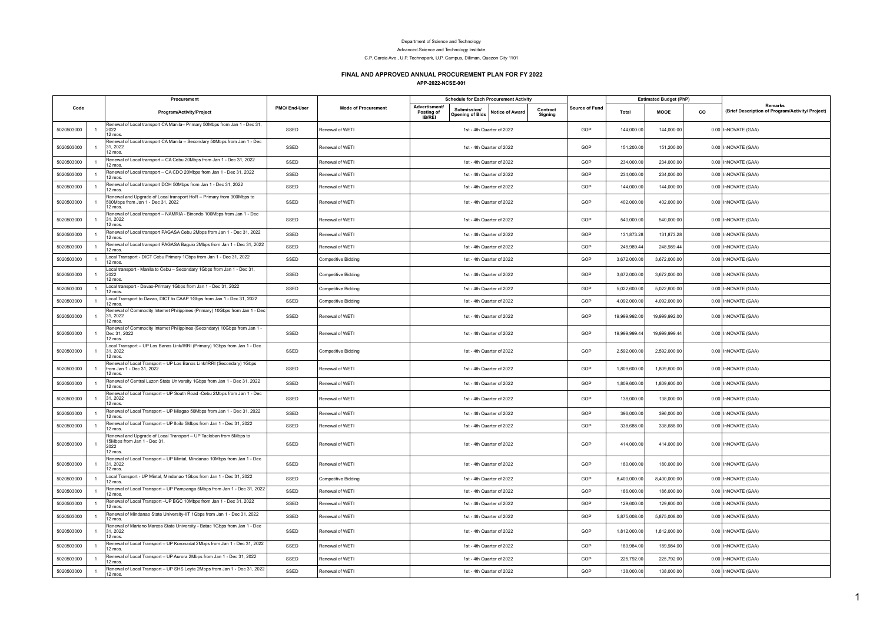## Department of Science and Technology

Advanced Science and Technology Institute

C.P. Garcia Ave., U.P. Technopark, U.P. Campus, Diliman, Quezon City 1101

## **FINAL AND APPROVED ANNUAL PROCUREMENT PLAN FOR FY 2022**

**APP-2022-NCSE-001**

|            |                | Procurement                                                                                                         |              |                            |                                              | <b>Schedule for Each Procurement Activity</b>            |                     |                |               | <b>Estimated Budget (PhP)</b> |    |                                                                    |
|------------|----------------|---------------------------------------------------------------------------------------------------------------------|--------------|----------------------------|----------------------------------------------|----------------------------------------------------------|---------------------|----------------|---------------|-------------------------------|----|--------------------------------------------------------------------|
| Code       |                | Program/Activity/Project                                                                                            | PMO/End-User | <b>Mode of Procurement</b> | Advertisment/<br>Posting of<br><b>IB/REI</b> | Submission/<br>Notice of Award<br><b>Opening of Bids</b> | Contract<br>Signing | Source of Fund | Total         | MOOE                          | co | <b>Remarks</b><br>(Brief Description of Program/Activity/ Project) |
| 5020503000 |                | Renewal of Local transport CA Manila- Primary 50Mbps from Jan 1 - Dec 31,<br>2022<br>12 mos                         | SSED         | Renewal of WETI            |                                              | 1st - 4th Quarter of 2022                                |                     | GOP            | 144,000.00    | 144,000.00                    |    | 0.00 InNOVATE (GAA)                                                |
| 5020503000 | $\overline{1}$ | Renewal of Local transport CA Manila - Secondary 50Mbps from Jan 1 - Dec<br>31, 2022<br>12 mos.                     | SSED         | Renewal of WETI            |                                              | 1st - 4th Quarter of 2022                                |                     | GOP            | 151,200.00    | 151,200.00                    |    | 0.00 InNOVATE (GAA)                                                |
| 5020503000 | $\overline{1}$ | Renewal of Local transport - CA Cebu 20Mbps from Jan 1 - Dec 31, 2022<br>12 mos.                                    | SSED         | Renewal of WETI            |                                              | 1st - 4th Quarter of 2022                                |                     | GOP            | 234,000.00    | 234,000.00                    |    | 0.00 InNOVATE (GAA)                                                |
| 5020503000 |                | Renewal of Local transport - CA CDO 20Mbps from Jan 1 - Dec 31, 2022<br>12 mos                                      | SSED         | Renewal of WETI            |                                              | 1st - 4th Quarter of 2022                                |                     | GOP            | 234,000.00    | 234,000.00                    |    | 0.00 InNOVATE (GAA)                                                |
| 5020503000 | $\overline{1}$ | Renewal of Local transport DOH 50Mbps from Jan 1 - Dec 31, 2022<br>12 mos.                                          | SSED         | Renewal of WETI            |                                              | 1st - 4th Quarter of 2022                                |                     | GOP            | 144,000.00    | 144,000.00                    |    | 0.00 InNOVATE (GAA)                                                |
| 5020503000 |                | Renewal and Upgrade of Local transport HoR - Primary from 300Mbps to<br>500Mbps from Jan 1 - Dec 31, 2022<br>12 mos | SSED         | Renewal of WETI            |                                              | 1st - 4th Quarter of 2022                                |                     | GOP            | 402,000.00    | 402,000.00                    |    | 0.00 InNOVATE (GAA)                                                |
| 5020503000 |                | Renewal of Local transport - NAMRIA - Binondo 100Mbps from Jan 1 - Dec<br>31, 2022<br>12 mos.                       | SSED         | Renewal of WETI            |                                              | 1st - 4th Quarter of 2022                                |                     | GOP            | 540,000.00    | 540,000.00                    |    | 0.00 InNOVATE (GAA)                                                |
| 5020503000 |                | Renewal of Local transport PAGASA Cebu 2Mbps from Jan 1 - Dec 31, 2022<br>12 mos.                                   | SSED         | Renewal of WETI            |                                              | 1st - 4th Quarter of 2022                                |                     | GOP            | 131,873.28    | 131,873.28                    |    | 0.00 InNOVATE (GAA)                                                |
| 5020503000 |                | Renewal of Local transport PAGASA Baguio 2Mbps from Jan 1 - Dec 31, 2022<br>12 mos.                                 | SSED         | Renewal of WETI            |                                              | 1st - 4th Quarter of 2022                                |                     | GOP            | 248,989.44    | 248,989.44                    |    | 0.00 InNOVATE (GAA)                                                |
| 5020503000 | $\overline{1}$ | Local Transport - DICT Cebu Primary 1Gbps from Jan 1 - Dec 31, 2022<br>12 mos.                                      | SSED         | <b>Competitive Bidding</b> |                                              | 1st - 4th Quarter of 2022                                |                     | GOP            | 3,672,000.00  | 3,672,000.00                  |    | 0.00 InNOVATE (GAA)                                                |
| 5020503000 | $\overline{1}$ | Local transport - Manila to Cebu - Secondary 1Gbps from Jan 1 - Dec 31,<br>2022<br>12 mos.                          | SSED         | <b>Competitive Bidding</b> |                                              | 1st - 4th Quarter of 2022                                |                     | GOP            | 3,672,000.00  | 3,672,000.00                  |    | 0.00 InNOVATE (GAA)                                                |
| 5020503000 | $\overline{1}$ | Local transport - Davao-Primary 1Gbps from Jan 1 - Dec 31, 2022<br>12 mos.                                          | SSED         | <b>Competitive Bidding</b> |                                              | 1st - 4th Quarter of 2022                                |                     | GOP            | 5,022,600.00  | 5,022,600.00                  |    | 0.00 InNOVATE (GAA)                                                |
| 5020503000 | $\overline{1}$ | Local Transport to Davao, DICT to CAAP 1Gbps from Jan 1 - Dec 31, 2022<br>$12$ mos.                                 | SSED         | <b>Competitive Bidding</b> |                                              | 1st - 4th Quarter of 2022                                |                     | GOP            | 4,092,000.00  | 4,092,000.00                  |    | 0.00 InNOVATE (GAA)                                                |
| 5020503000 |                | Renewal of Commodity Internet Philippines (Primary) 10Gbps from Jan 1 - Dec<br>31, 2022<br>12 mos.                  | SSED         | Renewal of WETI            |                                              | 1st - 4th Quarter of 2022                                |                     | GOP            | 19,999,992.00 | 19,999,992.00                 |    | 0.00 InNOVATE (GAA)                                                |
| 5020503000 | $\overline{1}$ | Renewal of Commodity Internet Philippines (Secondary) 10Gbps from Jan 1 -<br>Dec 31, 2022<br>12 mos                 | SSED         | Renewal of WETI            |                                              | 1st - 4th Quarter of 2022                                |                     | GOP            | 19,999,999.44 | 19,999,999.44                 |    | 0.00 InNOVATE (GAA)                                                |
| 5020503000 |                | Local Transport - UP Los Banos Link/IRRI (Primary) 1Gbps from Jan 1 - Dec<br>31, 2022<br>12 mos.                    | SSED         | Competitive Bidding        |                                              | 1st - 4th Quarter of 2022                                |                     | GOP            | 2,592,000.00  | 2,592,000.00                  |    | 0.00 InNOVATE (GAA)                                                |
| 5020503000 |                | Renewal of Local Transport - UP Los Banos Link/IRRI (Secondary) 1Gbps<br>from Jan 1 - Dec 31, 2022<br>12 mos.       | SSED         | Renewal of WETI            |                                              | 1st - 4th Quarter of 2022                                |                     | GOP            | 1,809,600.00  | 1,809,600.00                  |    | 0.00 InNOVATE (GAA)                                                |
| 5020503000 | $\overline{1}$ | Renewal of Central Luzon State University 1Gbps from Jan 1 - Dec 31, 2022<br>12 mos.                                | SSED         | Renewal of WETI            |                                              | 1st - 4th Quarter of 2022                                |                     | GOP            | 1,809,600.00  | 1,809,600.00                  |    | 0.00 InNOVATE (GAA)                                                |
| 5020503000 | $\overline{1}$ | Renewal of Local Transport - UP South Road -Cebu 2Mbps from Jan 1 - Dec<br>31, 2022<br>$12$ mos.                    | SSED         | Renewal of WETI            |                                              | 1st - 4th Quarter of 2022                                |                     | GOP            | 138,000.00    | 138,000.00                    |    | 0.00 InNOVATE (GAA)                                                |
| 5020503000 |                | Renewal of Local Transport - UP Miagao 50Mbps from Jan 1 - Dec 31, 2022<br>$12$ mos.                                | SSED         | Renewal of WETI            |                                              | 1st - 4th Quarter of 2022                                |                     | GOP            | 396,000.00    | 396,000.00                    |    | 0.00 InNOVATE (GAA)                                                |
| 5020503000 | $\overline{1}$ | Renewal of Local Transport - UP Iloilo 5Mbps from Jan 1 - Dec 31, 2022<br>12 mos.                                   | SSED         | Renewal of WETI            |                                              | 1st - 4th Quarter of 2022                                |                     | GOP            | 338,688.00    | 338,688,00                    |    | 0.00 InNOVATE (GAA)                                                |
| 5020503000 | $\overline{1}$ | Renewal and Upgrade of Local Transport - UP Tacloban from 5Mbps to<br>15Mbps from Jan 1 - Dec 31,<br>2022<br>12 mos | SSED         | Renewal of WETI            |                                              | 1st - 4th Quarter of 2022                                |                     | GOP            | 414.000.00    | 414.000.00                    |    | 0.00 InNOVATE (GAA)                                                |
| 5020503000 |                | Renewal of Local Transport - UP Mintal, Mindanao 10Mbps from Jan 1 - Dec<br>31, 2022<br>12 mos.                     | SSED         | Renewal of WETI            |                                              | 1st - 4th Quarter of 2022                                |                     | GOP            | 180,000.00    | 180,000.00                    |    | 0.00 InNOVATE (GAA)                                                |
| 5020503000 | $\overline{1}$ | Local Transport - UP Mintal, Mindanao 1Gbps from Jan 1 - Dec 31, 2022<br>$12 \text{ mas}$                           | SSED         | <b>Competitive Bidding</b> |                                              | 1st - 4th Quarter of 2022                                |                     | GOP            | 8,400,000.00  | 8.400.000.00                  |    | 0.00 InNOVATE (GAA)                                                |
| 5020503000 |                | Renewal of Local Transport - UP Pampanga 5Mbps from Jan 1 - Dec 31, 2022<br>12 mos.                                 | SSED         | Renewal of WETI            |                                              | 1st - 4th Quarter of 2022                                |                     | GOP            | 186,000.00    | 186,000.00                    |    | 0.00 InNOVATE (GAA)                                                |
| 5020503000 |                | Renewal of Local Transport-UP BGC 10Mbps from Jan 1 - Dec 31, 2022<br>12 mos.                                       | SSED         | Renewal of WETI            |                                              | 1st - 4th Quarter of 2022                                |                     | GOP            | 129,600.00    | 129,600.00                    |    | 0.00 InNOVATE (GAA)                                                |
| 5020503000 | $\overline{1}$ | Renewal of Mindanao State University-IIT 1Gbps from Jan 1 - Dec 31, 2022<br>$12 \text{ mas}$                        | SSED         | Renewal of WETI            |                                              | 1st - 4th Quarter of 2022                                |                     | GOP            | 5,875,008.00  | 5,875,008.00                  |    | 0.00 InNOVATE (GAA)                                                |
| 5020503000 |                | Renewal of Mariano Marcos State University - Batac 1Gbps from Jan 1 - Dec<br>31, 2022<br>12 mos.                    | SSED         | Renewal of WETI            |                                              | 1st - 4th Quarter of 2022                                |                     | GOP            | 1,812,000.00  | 1,812,000.00                  |    | 0.00 InNOVATE (GAA)                                                |
| 5020503000 | $\overline{1}$ | Renewal of Local Transport - UP Koronadal 2Mbps from Jan 1 - Dec 31, 2022<br>12 mos.                                | SSED         | Renewal of WETI            |                                              | 1st - 4th Quarter of 2022                                |                     | GOP            | 189,984.00    | 189,984.00                    |    | 0.00 InNOVATE (GAA)                                                |
| 5020503000 | $\overline{1}$ | Renewal of Local Transport - UP Aurora 2Mbps from Jan 1 - Dec 31, 2022<br>12 mos.                                   | SSED         | Renewal of WETI            |                                              | 1st - 4th Quarter of 2022                                |                     | GOP            | 225,792.00    | 225,792.00                    |    | 0.00 InNOVATE (GAA)                                                |
| 5020503000 | $\overline{1}$ | Renewal of Local Transport - UP SHS Leyte 2Mbps from Jan 1 - Dec 31, 2022<br>12 mos.                                | SSED         | Renewal of WETI            |                                              | 1st - 4th Quarter of 2022                                |                     | GOP            | 138,000.00    | 138,000.00                    |    | 0.00 InNOVATE (GAA)                                                |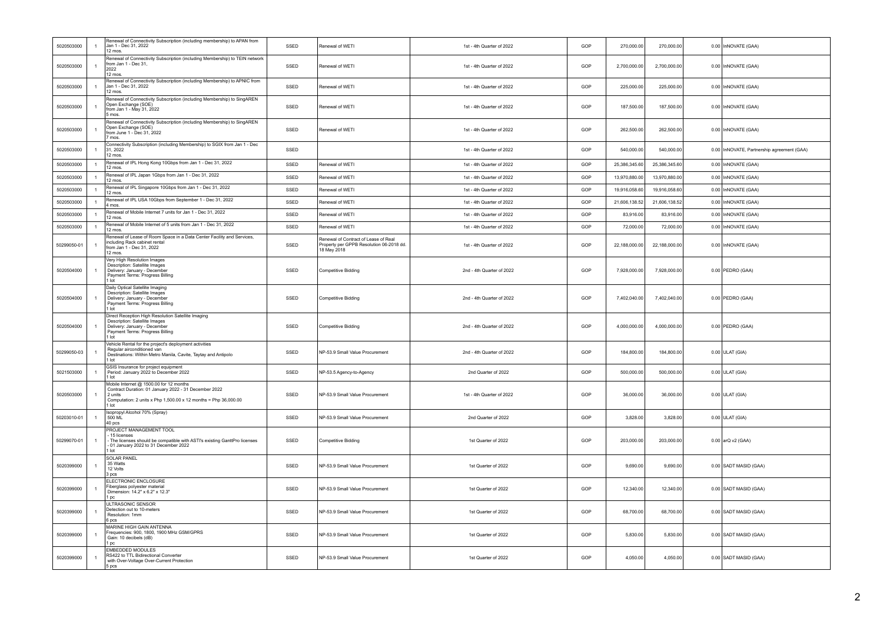| 5020503000  | $\mathbf{1}$   | Renewal of Connectivity Subscription (including membership) to APAN from<br>Jan 1 - Dec 31, 2022<br>12 mos.                                                                             | SSED | Renewal of WETI                                                                                 | 1st - 4th Quarter of 2022 | GOP | 270,000.00    | 270,000.00    | 0.00 InNOVATE (GAA)                        |
|-------------|----------------|-----------------------------------------------------------------------------------------------------------------------------------------------------------------------------------------|------|-------------------------------------------------------------------------------------------------|---------------------------|-----|---------------|---------------|--------------------------------------------|
| 5020503000  | $\mathbf{1}$   | Renewal of Connectivity Subscription (including Membership) to TEIN network<br>from Jan 1 - Dec 31.<br>2022<br>12 mos.                                                                  | SSED | Renewal of WETI                                                                                 | 1st - 4th Quarter of 2022 | GOP | 2,700,000.00  | 2,700,000.00  | 0.00 InNOVATE (GAA)                        |
| 5020503000  | $\mathbf{1}$   | Renewal of Connectivity Subscription (including Membership) to APNIC from<br>Jan 1 - Dec 31, 2022<br>12 mos.                                                                            | SSED | Renewal of WETI                                                                                 | 1st - 4th Quarter of 2022 | GOP | 225,000.00    | 225,000.00    | 0.00 InNOVATE (GAA)                        |
| 5020503000  | $\overline{1}$ | Renewal of Connectivity Subscription (including Membership) to SingAREN<br>Open Exchange (SOE)<br>from Jan 1 - May 31, 2022<br>5 mos.                                                   | SSED | Renewal of WETI                                                                                 | 1st - 4th Quarter of 2022 | GOP | 187,500.00    | 187,500.00    | 0.00 InNOVATE (GAA)                        |
| 5020503000  | $\mathbf{1}$   | Renewal of Connectivity Subscription (including Membership) to SingAREN<br>Open Exchange (SOE)<br>from June 1 - Dec 31, 2022<br>7 mos.                                                  | SSED | Renewal of WETI                                                                                 | 1st - 4th Quarter of 2022 | GOP | 262,500.00    | 262,500.00    | 0.00 InNOVATE (GAA)                        |
| 5020503000  | $\mathbf{1}$   | Connectivity Subscription (including Membership) to SGIX from Jan 1 - Dec<br>31, 2022<br>12 mos.                                                                                        | SSED |                                                                                                 | 1st - 4th Quarter of 2022 | GOP | 540,000.00    | 540,000.00    | 0.00 InNOVATE, Partnership agreement (GAA) |
| 5020503000  | $\mathbf{1}$   | Renewal of IPL Hong Kong 10Gbps from Jan 1 - Dec 31, 2022<br>12 mos.                                                                                                                    | SSED | Renewal of WETI                                                                                 | 1st - 4th Quarter of 2022 | GOP | 25,386,345.60 | 25,386,345.60 | 0.00 InNOVATE (GAA)                        |
| 5020503000  | $\mathbf{1}$   | Renewal of IPL Japan 1Gbps from Jan 1 - Dec 31, 2022<br>12 mos.                                                                                                                         | SSED | Renewal of WETI                                                                                 | 1st - 4th Quarter of 2022 | GOP | 13,970,880.00 | 13,970,880.00 | 0.00 InNOVATE (GAA)                        |
| 5020503000  | $\mathbf{1}$   | Renewal of IPL Singapore 10Gbps from Jan 1 - Dec 31, 2022<br>12 mos.                                                                                                                    | SSED | Renewal of WETI                                                                                 | 1st - 4th Quarter of 2022 | GOP | 19,916,058.60 | 19,916,058.60 | 0.00 InNOVATE (GAA)                        |
| 5020503000  | $\mathbf{1}$   | Renewal of IPL USA 10Gbps from September 1 - Dec 31, 2022<br>4 mos.                                                                                                                     | SSED | Renewal of WETI                                                                                 | 1st - 4th Quarter of 2022 | GOP | 21,606,138.52 | 21,606,138.52 | 0.00 InNOVATE (GAA)                        |
| 5020503000  | $\mathbf{1}$   | Renewal of Mobile Internet 7 units for Jan 1 - Dec 31, 2022<br>12 mos.                                                                                                                  | SSED | Renewal of WETI                                                                                 | 1st - 4th Quarter of 2022 | GOP | 83,916.00     | 83,916.00     | 0.00 InNOVATE (GAA)                        |
| 5020503000  | $\mathbf{1}$   | Renewal of Mobile Internet of 5 units from Jan 1 - Dec 31, 2022<br>12 mos.                                                                                                              | SSED | Renewal of WETI                                                                                 | 1st - 4th Quarter of 2022 | GOP | 72,000.00     | 72,000.00     | 0.00 InNOVATE (GAA)                        |
| 50299050-01 | $\overline{1}$ | Renewal of Lease of Room Space in a Data Center Facility and Services,<br>including Rack cabinet rental<br>from Jan 1 - Dec 31, 2022<br>12 mos.                                         | SSED | Renewal of Contract of Lease of Real<br>Property per GPPB Resolution 06-2018 dd.<br>18 May 2018 | 1st - 4th Quarter of 2022 | GOP | 22,188,000.00 | 22,188,000.00 | 0.00 InNOVATE (GAA)                        |
| 5020504000  | $\overline{1}$ | Very High Resolution Images<br>Description: Satellite Images<br>Delivery: January - December<br>Payment Terms: Progress Billing<br>lot                                                  | SSED | Competitive Bidding                                                                             | 2nd - 4th Quarter of 2022 | GOP | 7,928,000.00  | 7,928,000.00  | $0.00$ PEDRO (GAA)                         |
| 5020504000  | $\overline{1}$ | Daily Optical Satellite Imaging<br>Description: Satellite Images<br>Delivery: January - December<br>Payment Terms: Progress Billing<br>$1$ lot                                          | SSED | Competitive Bidding                                                                             | 2nd - 4th Quarter of 2022 | GOP | 7,402,040.00  | 7,402,040.00  | 0.00 PEDRO (GAA)                           |
| 5020504000  | $\mathbf{1}$   | Direct Reception High Resolution Satellite Imaging<br>Description: Satellite Images<br>Delivery: January - December<br>Payment Terms: Progress Billing<br>1 lot                         | SSED | <b>Competitive Bidding</b>                                                                      | 2nd - 4th Quarter of 2022 | GOP | 4,000,000.00  | 4,000,000.00  | $0.00$ PEDRO (GAA)                         |
| 50299050-03 | $\overline{1}$ | Vehicle Rental for the project's deployment activities<br>Regular airconditioned van<br>Destinations: Within Metro Manila, Cavite, Taytay and Antipolo<br>1 lot                         | SSED | NP-53.9 Small Value Procurement                                                                 | 2nd - 4th Quarter of 2022 | GOP | 184 800.00    | 184 800.00    | $0.00$ ULAT (GIA)                          |
| 5021503000  | $\mathbf{1}$   | GSIS Insurance for project equipment<br>Period: January 2022 to December 2022<br>1 lot                                                                                                  | SSED | NP-53.5 Agency-to-Agency                                                                        | 2nd Quarter of 2022       | GOP | 500,000.00    | 500,000.00    | $0.00$ ULAT (GIA)                          |
| 5020503000  | $\mathbf{1}$   | Mobile Internet @ 1500.00 for 12 months<br>Contract Duration: 01 January 2022 - 31 December 2022<br>2 units<br>Computation: 2 units x Php 1,500.00 x 12 months = Php 36,000.00<br>1 lot | SSED | NP-53.9 Small Value Procurement                                                                 | 1st - 4th Quarter of 2022 | GOP | 36,000.00     | 36,000.00     | $0.00$ ULAT (GIA)                          |
| 50203010-01 | $\mathbf{1}$   | Isopropyl Alcohol 70% (Spray)<br>500 ML<br>40 pcs                                                                                                                                       | SSED | NP-53.9 Small Value Procurement                                                                 | 2nd Quarter of 2022       | GOP | 3,828.00      | 3,828.00      | $0.00$ ULAT (GIA)                          |
| 50299070-01 | $\mathbf{1}$   | PROJECT MANAGEMENT TOOL<br>15 licenses<br>The licenses should be compatible with ASTI's existing GanttPro licenses<br>01 January 2022 to 31 December 2022<br>1 lot                      | SSED | Competitive Bidding                                                                             | 1st Quarter of 2022       | GOP | 203,000.00    | 203,000.00    | 0.00 arQ v2 (GAA)                          |
| 5020399000  | $\overline{1}$ | <b>SOLAR PANEL</b><br>35 Watts<br>12 Volts<br>3 pcs                                                                                                                                     | SSED | NP-53.9 Small Value Procurement                                                                 | 1st Quarter of 2022       | GOP | 9.690.00      | 9,690.00      | 0.00 SADT MASID (GAA)                      |
| 5020399000  | $\mathbf{1}$   | ELECTRONIC ENCLOSURE<br>Fiberglass polyester material<br>Dimension: 14.2" x 6.2" x 12.3"<br>1 pc                                                                                        | SSED | NP-53.9 Small Value Procurement                                                                 | 1st Quarter of 2022       | GOP | 12,340.00     | 12,340.00     | 0.00 SADT MASID (GAA)                      |
| 5020399000  | $\overline{1}$ | ULTRASONIC SENSOR<br>Detection out to 10-meters<br>Resolution: 1mm<br>6 pcs                                                                                                             | SSED | NP-53.9 Small Value Procurement                                                                 | 1st Quarter of 2022       | GOP | 68,700.00     | 68,700.00     | 0.00 SADT MASID (GAA)                      |
| 5020399000  | $\mathbf{1}$   | MARINE HIGH GAIN ANTENNA<br>Frequencies: 900, 1800, 1900 MHz GSM/GPRS<br>Gain: 10 decibels (dB)<br>1 pc                                                                                 | SSED | NP-53.9 Small Value Procurement                                                                 | 1st Quarter of 2022       | GOP | 5,830.00      | 5,830.00      | 0.00 SADT MASID (GAA)                      |
| 5020399000  | $\mathbf{1}$   | <b>EMBEDDED MODULES</b><br>RS422 to TTL Bidirectional Converter<br>with Over-Voltage Over-Current Protection<br>5 pcs                                                                   | SSED | NP-53.9 Small Value Procurement                                                                 | 1st Quarter of 2022       | GOP | 4,050.00      | 4,050.00      | 0.00 SADT MASID (GAA)                      |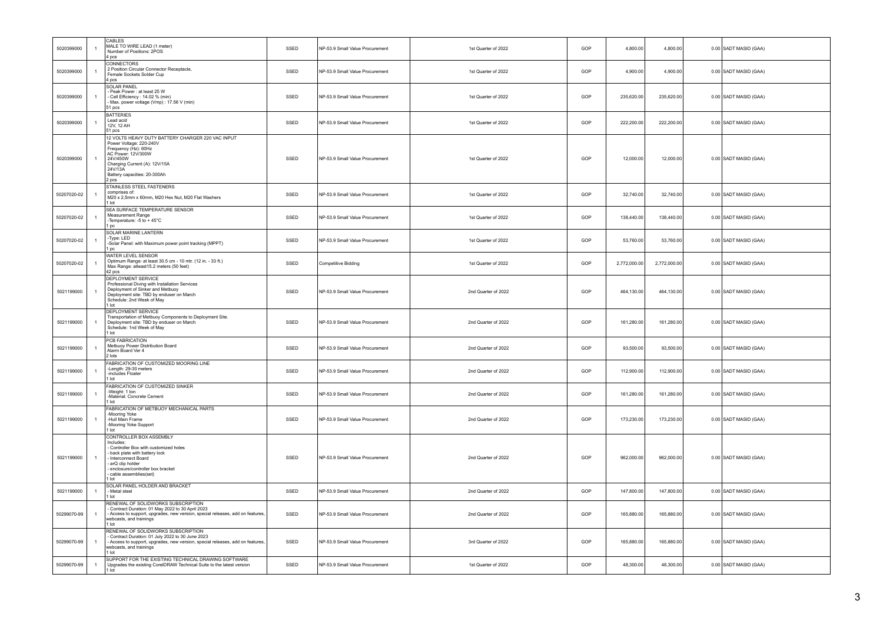| 5020399000  | $\overline{1}$ | CABLES<br>MALE TO WIRE LEAD (1 meter)<br>Number of Positions: 2POS<br>4 pcs                                                                                                                                                 | SSED | NP-53.9 Small Value Procurement | 1st Quarter of 2022 | GOP | 4,800.00     | 4,800.00     | 0.00 SADT MASID (GAA) |
|-------------|----------------|-----------------------------------------------------------------------------------------------------------------------------------------------------------------------------------------------------------------------------|------|---------------------------------|---------------------|-----|--------------|--------------|-----------------------|
| 5020399000  | $\overline{1}$ | <b>CONNECTORS</b><br>2 Position Circular Connector Receptacle,<br>Female Sockets Solder Cup<br>4 pcs                                                                                                                        | SSED | NP-53.9 Small Value Procurement | 1st Quarter of 2022 | GOP | 4,900.00     | 4,900.00     | 0.00 SADT MASID (GAA) |
| 5020399000  | $\overline{1}$ | <b>SOLAR PANEL</b><br>Peak Power: at least 25 W<br>Cell Efficiency: 14.02 % (min)<br>Max. power voltage (Vmp): 17.56 V (min)<br>51 pcs                                                                                      | SSED | NP-53.9 Small Value Procurement | 1st Quarter of 2022 | GOP | 235,620.00   | 235,620.00   | 0.00 SADT MASID (GAA) |
| 5020399000  | $\overline{1}$ | <b>BATTERIES</b><br>Lead acid<br>12V, 12 AH<br>51 pcs                                                                                                                                                                       | SSED | NP-53.9 Small Value Procurement | 1st Quarter of 2022 | GOP | 222,200.00   | 222,200.00   | 0.00 SADT MASID (GAA) |
| 5020399000  | $\overline{1}$ | 12 VOLTS HEAVY DUTY BATTERY CHARGER 220 VAC INPUT<br>Power Voltage: 220-240V<br>Frequency (Hz): 60Hz<br>AC Power: 12V/300W<br>24V/450W<br>Charging Current (A): 12V/15A<br>24V/13A<br>Battery capacities: 20-300Ah<br>2 pcs | SSED | NP-53.9 Small Value Procurement | 1st Quarter of 2022 | GOP | 12,000.00    | 12,000.00    | 0.00 SADT MASID (GAA) |
| 50207020-02 | $\overline{1}$ | STAINLESS STEEL FASTENERS<br>comprises of:<br>M20 x 2,5mm x 60mm, M20 Hex Nut, M20 Flat Washers<br>1 lot                                                                                                                    | SSED | NP-53.9 Small Value Procurement | 1st Quarter of 2022 | GOP | 32,740.00    | 32,740.00    | 0.00 SADT MASID (GAA) |
| 50207020-02 | $\overline{1}$ | SEA SURFACE TEMPERATURE SENSOR<br>Measurement Range<br>-Temperature: -5 to + 45°C<br>1 pc                                                                                                                                   | SSED | NP-53.9 Small Value Procurement | 1st Quarter of 2022 | GOP | 138,440.00   | 138,440.00   | 0.00 SADT MASID (GAA) |
| 50207020-02 | $\overline{1}$ | SOLAR MARINE LANTERN<br>-Type: LED<br>-Solar Panel: with Maximum power point tracking (MPPT)<br>1 <sub>pc</sub>                                                                                                             | SSED | NP-53.9 Small Value Procurement | 1st Quarter of 2022 | GOP | 53,760.00    | 53,760.00    | 0.00 SADT MASID (GAA) |
| 50207020-02 | $\overline{1}$ | WATER LEVEL SENSOR<br>Optimum Range: at least 30.5 cm - 10 mtr. (12 in. - 33 ft.)<br>Max Range: atleast15.2 meters (50 feet)<br>42 pcs                                                                                      | SSED | Competitive Bidding             | 1st Quarter of 2022 | GOP | 2,772,000.00 | 2,772,000.00 | 0.00 SADT MASID (GAA) |
| 5021199000  | $\mathbf{1}$   | DEPLOYMENT SERVICE<br>Professional Diving with Installation Services<br>Deployment of Sinker and Metbuoy<br>Deployment site: TBD by enduser on March<br>Schedule: 2nd Week of May<br>lot                                    | SSED | NP-53.9 Small Value Procurement | 2nd Quarter of 2022 | GOP | 464,130.00   | 464,130.00   | 0.00 SADT MASID (GAA) |
| 5021199000  | $\overline{1}$ | DEPLOYMENT SERVICE<br>Transportation of Metbuoy Components to Deployment Site.<br>Deployment site: TBD by enduser on March<br>Schedule: 1nd Week of May<br>1 lot                                                            | SSED | NP-53.9 Small Value Procurement | 2nd Quarter of 2022 | GOP | 161,280.00   | 161,280.00   | 0.00 SADT MASID (GAA) |
| 5021199000  | $\overline{1}$ | PCB FABRICATION<br>Metbuoy Power Distribution Board<br>Alarm Board Ver 4<br>2 lots                                                                                                                                          | SSED | NP-53.9 Small Value Procurement | 2nd Quarter of 2022 | GOP | 93,500.00    | 93,500.00    | 0.00 SADT MASID (GAA) |
| 5021199000  | $\overline{1}$ | FABRICATION OF CUSTOMIZED MOORING LINE<br>-Length: 29-30 meters<br>-includes Floater<br>1 lot                                                                                                                               | SSED | NP-53.9 Small Value Procurement | 2nd Quarter of 2022 | GOP | 112,900.00   | 112,900.00   | 0.00 SADT MASID (GAA) |
| 5021199000  | $\overline{1}$ | FABRICATION OF CUSTOMIZED SINKER<br>-Weight: 1 ton<br>-Material: Concrete Cement<br>1 lot                                                                                                                                   | SSED | NP-53.9 Small Value Procurement | 2nd Quarter of 2022 | GOP | 161,280.00   | 161,280.00   | 0.00 SADT MASID (GAA) |
| 5021199000  | $\overline{1}$ | FABRICATION OF METBUOY MECHANICAL PARTS<br>-Mooring Yoke<br>-Hull Main Frame<br>-Mooring Yoke Support<br>1 lot                                                                                                              | SSED | NP-53.9 Small Value Procurement | 2nd Quarter of 2022 | GOP | 173,230.00   | 173,230.00   | 0.00 SADT MASID (GAA) |
| 5021199000  | $\overline{1}$ | CONTROLLER BOX ASSEMBLY<br>Includes:<br>Controller Box with customized holes<br>back plate with battery lock<br>Interconnect Board<br>arQ clip holder<br>enclosure/controller box bracket<br>cable assemblies(set)<br>lot   | SSED | NP-53.9 Small Value Procurement | 2nd Quarter of 2022 | GOP | 962,000.00   | 962,000.00   | 0.00 SADT MASID (GAA) |
| 5021199000  | $\mathbf{1}$   | SOLAR PANEL HOLDER AND BRACKET<br>- Metal steel<br>1 lot                                                                                                                                                                    | SSED | NP-53.9 Small Value Procurement | 2nd Quarter of 2022 | GOP | 147,800.00   | 147,800.00   | 0.00 SADT MASID (GAA) |
| 50299070-99 | $\mathbf{1}$   | RENEWAL OF SOLIDWORKS SUBSCRIPTION<br>Contract Duration: 01 May 2022 to 30 April 2023<br>Access to support, upgrades, new version, special releases, add on features<br>webcasts, and trainings<br>1 lot                    | SSED | NP-53.9 Small Value Procurement | 2nd Quarter of 2022 | GOP | 165,880.00   | 165,880.00   | 0.00 SADT MASID (GAA) |
| 50299070-99 | $\overline{1}$ | RENEWAL OF SOLIDWORKS SUBSCRIPTION<br>Contract Duration: 01 July 2022 to 30 June 2023<br>Access to support, upgrades, new version, special releases, add on features<br>webcasts, and trainings<br>1 lot                    | SSED | NP-53.9 Small Value Procurement | 3rd Quarter of 2022 | GOP | 165,880.00   | 165,880.00   | 0.00 SADT MASID (GAA) |
| 50299070-99 | $\overline{1}$ | SUPPORT FOR THE EXISTING TECHNICAL DRAWING SOFTWARE<br>Upgrades the existing CorelDRAW Technical Suite to the latest version                                                                                                | SSED | NP-53.9 Small Value Procurement | 1st Quarter of 2022 | GOP | 48,300.00    | 48,300.00    | 0.00 SADT MASID (GAA) |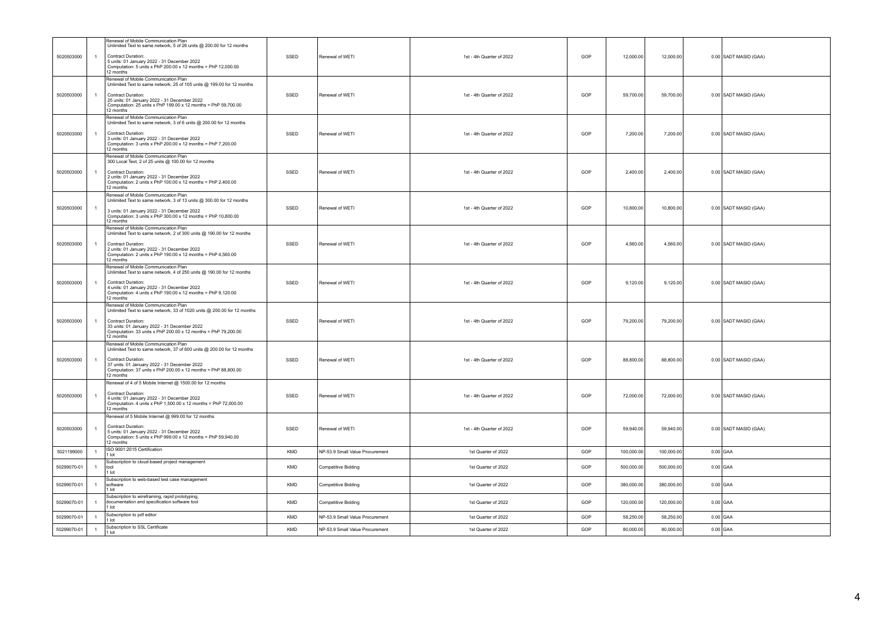|             |                | Renewal of Mobile Communication Plan                                                                                                                                                                                                                                        |            |                                 |                           |     |            |            |                       |
|-------------|----------------|-----------------------------------------------------------------------------------------------------------------------------------------------------------------------------------------------------------------------------------------------------------------------------|------------|---------------------------------|---------------------------|-----|------------|------------|-----------------------|
| 5020503000  | $\overline{1}$ | Unlimited Text to same network, 5 of 26 units @ 200.00 for 12 months<br><b>Contract Duration:</b><br>5 units: 01 January 2022 - 31 December 2022<br>Computation: 5 units x PhP 200.00 x 12 months = PhP 12,000.00<br>12 months                                              | SSED       | Renewal of WETI                 | 1st - 4th Quarter of 2022 | GOP | 12,000.00  | 12,000.00  | 0.00 SADT MASID (GAA) |
| 5020503000  | $\overline{1}$ | Renewal of Mobile Communication Plan<br>Unlimited Text to same network, 25 of 105 units @ 199.00 for 12 months<br>Contract Duration:<br>25 units: 01 January 2022 - 31 December 2022<br>Computation: 25 units x PhP 199.00 x 12 months = PhP 59,700.00<br>12 months         | SSED       | Renewal of WETI                 | 1st - 4th Quarter of 2022 | GOP | 59,700.00  | 59,700.00  | 0.00 SADT MASID (GAA) |
| 5020503000  | $\mathbf{1}$   | Renewal of Mobile Communication Plan<br>Unlimited Text to same network, 3 of 6 units @ 200.00 for 12 months<br>Contract Duration:<br>3 units: 01 January 2022 - 31 December 2022<br>Computation: 3 units x PhP 200.00 x 12 months = PhP 7,200.00<br>12 months               | SSED       | Renewal of WETI                 | 1st - 4th Quarter of 2022 | GOP | 7,200.00   | 7,200.00   | 0.00 SADT MASID (GAA) |
| 5020503000  | $\overline{1}$ | Renewal of Mobile Communication Plan<br>300 Local Text, 2 of 25 units @ 100.00 for 12 months<br>Contract Duration:<br>2 units: 01 January 2022 - 31 December 2022<br>Computation: 2 units x PhP 100.00 x 12 months = PhP 2,400.00<br>12 months                              | SSED       | Renewal of WETI                 | 1st - 4th Quarter of 2022 | GOP | 2,400.00   | 2,400.00   | 0.00 SADT MASID (GAA) |
| 5020503000  | $\overline{1}$ | Renewal of Mobile Communication Plan<br>Unlimited Text to same network, 3 of 13 units @ 300.00 for 12 months<br>3 units: 01 January 2022 - 31 December 2022<br>Computation: 3 units x PhP 300.00 x 12 months = PhP 10,800.00<br>12 months                                   | SSED       | Renewal of WETI                 | 1st - 4th Quarter of 2022 | GOP | 10,800.00  | 10,800.00  | 0.00 SADT MASID (GAA) |
| 5020503000  | $\mathbf{1}$   | Renewal of Mobile Communication Plan<br>Unlimited Text to same network, 2 of 300 units @ 190.00 for 12 months<br>Contract Duration:<br>2 units: 01 January 2022 - 31 December 2022<br>Computation: 2 units x PhP 190.00 x 12 months = PhP 4,560.00<br>12 months             | SSED       | Renewal of WETI                 | 1st - 4th Quarter of 2022 | GOP | 4,560.00   | 4,560.00   | 0.00 SADT MASID (GAA) |
| 5020503000  | $\mathbf{1}$   | Renewal of Mobile Communication Plan<br>Unlimited Text to same network, 4 of 250 units @ 190.00 for 12 months<br>Contract Duration:<br>4 units: 01 January 2022 - 31 December 2022<br>Computation: 4 units x PhP 190.00 x 12 months = PhP 9,120.00<br>12 months             | SSED       | Renewal of WETI                 | 1st - 4th Quarter of 2022 | GOP | 9,120.00   | 9,120.00   | 0.00 SADT MASID (GAA) |
| 5020503000  | $\mathbf{1}$   | Renewal of Mobile Communication Plan<br>Unlimited Text to same network, 33 of 1020 units @ 200.00 for 12 months<br><b>Contract Duration:</b><br>33 units: 01 January 2022 - 31 December 2022<br>Computation: 33 units x PhP 200.00 x 12 months = PhP 79,200.00<br>12 months | SSED       | Renewal of WETI                 | 1st - 4th Quarter of 2022 | GOP | 79,200.00  | 79,200.00  | 0.00 SADT MASID (GAA) |
| 5020503000  | 1              | Renewal of Mobile Communication Plan<br>Unlimited Text to same network, 37 of 600 units @ 200.00 for 12 months<br>Contract Duration:<br>37 units: 01 January 2022 - 31 December 2022<br>Computation: 37 units x PhP 200.00 x 12 months = PhP 88,800.00<br>12 months         | SSED       | Renewal of WETI                 | 1st - 4th Quarter of 2022 | GOP | 88,800.00  | 88,800.00  | 0.00 SADT MASID (GAA) |
| 5020503000  | $\overline{1}$ | Renewal of 4 of 5 Mobile Internet @ 1500.00 for 12 months<br>Contract Duration:<br>4 units: 01 January 2022 - 31 December 2022<br>Computation: 4 units x PhP 1,500.00 x 12 months = PhP 72,000.00<br>12 months                                                              | SSED       | Renewal of WETI                 | 1st - 4th Quarter of 2022 | GOP | 72,000.00  | 72,000.00  | 0.00 SADT MASID (GAA) |
| 5020503000  | $\overline{1}$ | Renewal of 5 Mobile Internet @ 999.00 for 12 months<br><b>Contract Duration:</b><br>5 units: 01 January 2022 - 31 December 2022<br>Computation: 5 units x PhP 999.00 x 12 months = PhP 59,940.00<br>12 months                                                               | SSED       | Renewal of WETI                 | 1st - 4th Quarter of 2022 | GOP | 59,940.00  | 59,940.00  | 0.00 SADT MASID (GAA) |
| 5021199000  | $\overline{1}$ | ISO 9001:2015 Certification<br>1 lot                                                                                                                                                                                                                                        | KMD        | NP-53.9 Small Value Procurement | 1st Quarter of 2022       | GOP | 100,000.00 | 100,000.00 | $0.00$ GAA            |
| 50299070-01 | $\overline{1}$ | Subscription to cloud-based project management<br>tool<br>1 lot                                                                                                                                                                                                             | KMD        | Competitive Bidding             | 1st Quarter of 2022       | GOP | 500,000.00 | 500,000.00 | $0.00$ GAA            |
| 50299070-01 | $\overline{1}$ | Subscription to web-based test case management<br>software<br>1 lot                                                                                                                                                                                                         | KMD        | Competitive Bidding             | 1st Quarter of 2022       | GOP | 380,000.00 | 380,000.00 | $0.00$ GAA            |
| 50299070-01 | $\overline{1}$ | Subscription to wireframing, rapid prototyping<br>documentation and specification software tool<br>1 lot                                                                                                                                                                    | KMD        | Competitive Bidding             | 1st Quarter of 2022       | GOP | 120,000.00 | 120,000.00 | $0.00$ GAA            |
| 50299070-01 | $\overline{1}$ | Subscription to pdf editor<br>1 lot                                                                                                                                                                                                                                         | KMD        | NP-53.9 Small Value Procurement | 1st Quarter of 2022       | GOP | 58,250.00  | 58,250.00  | $0.00$ GAA            |
| 50299070-01 | $\overline{1}$ | Subscription to SSL Certificate<br>1 lot                                                                                                                                                                                                                                    | <b>KMD</b> | NP-53.9 Small Value Procurement | 1st Quarter of 2022       | GOP | 80,000.00  | 80,000.00  | $0.00$ GAA            |
|             |                |                                                                                                                                                                                                                                                                             |            |                                 |                           |     |            |            |                       |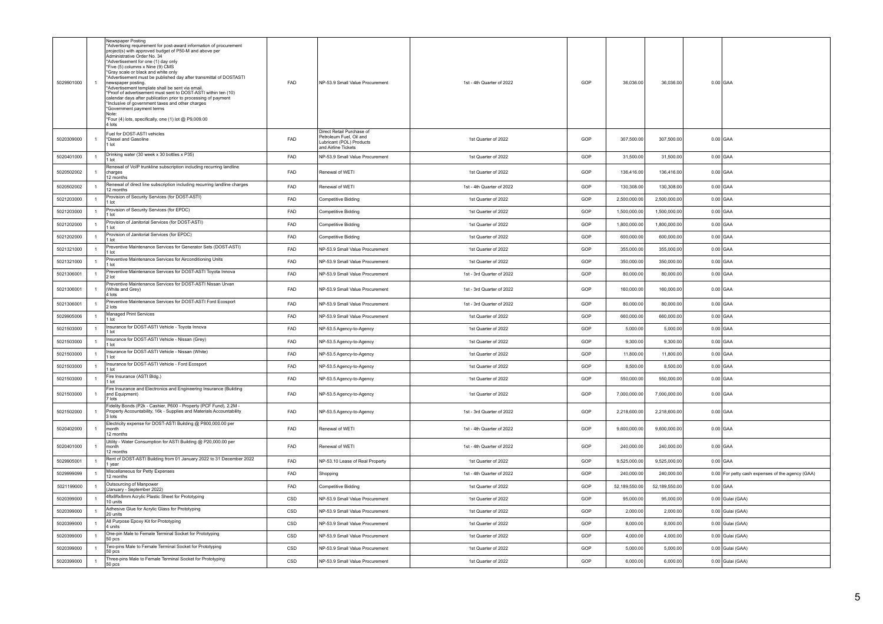| 5029901000 |                | Newspaper Posting<br>*Advertising requirement for post-award information of procurement<br>project(s) with approved budget of P50-M and above per<br>Administrative Order No. 34<br>*Advertisement for one (1) day only<br>*Five (5) columns x Nine (9) CMS<br>*Gray scale or black and white only<br>Advertisement must be published day after transmittal of DOSTASTI<br>newspaper posting.<br>Advertisement template shall be sent via email.<br>*Proof of advertisement must sent to DOST-ASTI within ten (10)<br>calendar days after publication prior to processing of payment<br>*Inclusive of government taxes and other charges<br>*Government payment terms<br>Note:<br>*Four (4) lots, specifically, one (1) lot @ P9,009.00<br>4 lots | FAD        | NP-53.9 Small Value Procurement                                                                         | 1st - 4th Quarter of 2022 | GOP | 36.036.00     | 36,036.00     | $0.00$ GAA                                       |
|------------|----------------|---------------------------------------------------------------------------------------------------------------------------------------------------------------------------------------------------------------------------------------------------------------------------------------------------------------------------------------------------------------------------------------------------------------------------------------------------------------------------------------------------------------------------------------------------------------------------------------------------------------------------------------------------------------------------------------------------------------------------------------------------|------------|---------------------------------------------------------------------------------------------------------|---------------------------|-----|---------------|---------------|--------------------------------------------------|
| 5020309000 | $\overline{1}$ | Fuel for DOST-ASTI vehicles<br>*Diesel and Gasoline<br>I lot                                                                                                                                                                                                                                                                                                                                                                                                                                                                                                                                                                                                                                                                                      | FAD        | Direct Retail Purchase of<br>Petroleum Fuel, Oil and<br>Lubricant (POL) Products<br>and Airline Tickets | 1st Quarter of 2022       | GOP | 307,500.00    | 307,500.00    | $0.00$ GAA                                       |
| 5020401000 | $\overline{1}$ | Drinking water (30 week x 30 bottles x P35)<br>1 lot                                                                                                                                                                                                                                                                                                                                                                                                                                                                                                                                                                                                                                                                                              | FAD        | NP-53.9 Small Value Procurement                                                                         | 1st Quarter of 2022       | GOP | 31,500.00     | 31,500.00     | $0.00$ GAA                                       |
| 5020502002 | $\overline{1}$ | Renewal of VoIP trunkline subscription including recurring landline<br>charges<br>12 months                                                                                                                                                                                                                                                                                                                                                                                                                                                                                                                                                                                                                                                       | FAD        | Renewal of WETI                                                                                         | 1st Quarter of 2022       | GOP | 136,416.00    | 136,416.00    | $0.00$ GAA                                       |
| 5020502002 | $\overline{1}$ | Renewal of direct line subscription including recurring landline charges<br>12 months                                                                                                                                                                                                                                                                                                                                                                                                                                                                                                                                                                                                                                                             | FAD        | Renewal of WETI                                                                                         | 1st - 4th Quarter of 2022 | GOP | 130,308.00    | 130,308.00    | $0.00$ GAA                                       |
| 5021203000 | $\overline{1}$ | Provision of Security Services (for DOST-ASTI)<br>1 lot                                                                                                                                                                                                                                                                                                                                                                                                                                                                                                                                                                                                                                                                                           | FAD        | <b>Competitive Bidding</b>                                                                              | 1st Quarter of 2022       | GOP | 2,500,000.00  | 2,500,000.00  | $0.00$ GAA                                       |
| 5021203000 | $\overline{1}$ | Provision of Security Services (for EPDC)<br>1 lot                                                                                                                                                                                                                                                                                                                                                                                                                                                                                                                                                                                                                                                                                                | FAD        | Competitive Bidding                                                                                     | 1st Quarter of 2022       | GOP | 1,500,000.00  | 1,500,000.00  | $0.00$ GAA                                       |
| 5021202000 | $\overline{1}$ | Provision of Janitorial Services (for DOST-ASTI)<br>1 lot                                                                                                                                                                                                                                                                                                                                                                                                                                                                                                                                                                                                                                                                                         | FAD        | Competitive Bidding                                                                                     | 1st Quarter of 2022       | GOP | 1,800,000.00  | 1,800,000.00  | $0.00$ GAA                                       |
| 5021202000 | $\overline{1}$ | Provision of Janitorial Services (for EPDC)<br>1 lot                                                                                                                                                                                                                                                                                                                                                                                                                                                                                                                                                                                                                                                                                              | FAD        | Competitive Bidding                                                                                     | 1st Quarter of 2022       | GOP | 600,000.00    | 600,000.00    | $0.00$ GAA                                       |
| 5021321000 | $\overline{1}$ | Preventive Maintenance Services for Generator Sets (DOST-ASTI)<br>1 lot                                                                                                                                                                                                                                                                                                                                                                                                                                                                                                                                                                                                                                                                           | <b>FAD</b> | NP-53.9 Small Value Procurement                                                                         | 1st Quarter of 2022       | GOP | 355,000.00    | 355,000.00    | $0.00$ GAA                                       |
| 5021321000 | $\overline{1}$ | Preventive Maintenance Services for Airconditioning Units<br>1 lot                                                                                                                                                                                                                                                                                                                                                                                                                                                                                                                                                                                                                                                                                | FAD        | NP-53.9 Small Value Procurement                                                                         | 1st Quarter of 2022       | GOP | 350,000.00    | 350,000.00    | $0.00$ GAA                                       |
| 5021306001 | $\overline{1}$ | Preventive Maintenance Services for DOST-ASTI Toyota Innova<br>2 lot                                                                                                                                                                                                                                                                                                                                                                                                                                                                                                                                                                                                                                                                              | FAD        | NP-53.9 Small Value Procurement                                                                         | 1st - 3rd Quarter of 2022 | GOP | 80,000.00     | 80,000.00     | $0.00$ GAA                                       |
| 5021306001 |                | Preventive Maintenance Services for DOST-ASTI Nissan Urvan<br>(White and Grey)<br>lots                                                                                                                                                                                                                                                                                                                                                                                                                                                                                                                                                                                                                                                            | FAD        | NP-53.9 Small Value Procurement                                                                         | 1st - 3rd Quarter of 2022 | GOP | 160,000.00    | 160,000.00    | $0.00$ GAA                                       |
| 5021306001 | $\overline{1}$ | Preventive Maintenance Services for DOST-ASTI Ford Ecosport<br>2 lots                                                                                                                                                                                                                                                                                                                                                                                                                                                                                                                                                                                                                                                                             | FAD        | NP-53.9 Small Value Procurement                                                                         | 1st - 3rd Quarter of 2022 | GOP | 80,000.00     | 80,000.00     | $0.00$ GAA                                       |
| 5029905006 | $\overline{1}$ | Managed Print Services<br>1 lot                                                                                                                                                                                                                                                                                                                                                                                                                                                                                                                                                                                                                                                                                                                   | FAD        | NP-53.9 Small Value Procurement                                                                         | 1st Quarter of 2022       | GOP | 660,000.00    | 660.000.00    | $0.00$ GAA                                       |
| 5021503000 | $\overline{1}$ | Insurance for DOST-ASTI Vehicle - Toyota Innova<br>1 lot                                                                                                                                                                                                                                                                                                                                                                                                                                                                                                                                                                                                                                                                                          | FAD        | NP-53.5 Agency-to-Agency                                                                                | 1st Quarter of 2022       | GOP | 5,000.00      | 5,000.00      | $0.00$ GAA                                       |
| 5021503000 | $\overline{1}$ | Insurance for DOST-ASTI Vehicle - Nissan (Grey)<br>1 lot                                                                                                                                                                                                                                                                                                                                                                                                                                                                                                                                                                                                                                                                                          | <b>FAD</b> | NP-53.5 Agency-to-Agency                                                                                | 1st Quarter of 2022       | GOP | 9,300.00      | 9,300.00      | $0.00$ GAA                                       |
| 5021503000 | $\overline{1}$ | Insurance for DOST-ASTI Vehicle - Nissan (White)<br>1 lot                                                                                                                                                                                                                                                                                                                                                                                                                                                                                                                                                                                                                                                                                         | <b>FAD</b> | NP-53.5 Agency-to-Agency                                                                                | 1st Quarter of 2022       | GOP | 11,800.00     | 11,800.00     | $0.00$ GAA                                       |
| 5021503000 | $\mathbf{1}$   | Insurance for DOST-ASTI Vehicle - Ford Ecosport<br>I lot                                                                                                                                                                                                                                                                                                                                                                                                                                                                                                                                                                                                                                                                                          | FAD        | NP-53.5 Agency-to-Agency                                                                                | 1st Quarter of 2022       | GOP | 8,500.00      | 8.500.00      | $0.00$ GAA                                       |
| 5021503000 | $\overline{1}$ | Fire Insurance (ASTI Bldg.)<br>1 lot                                                                                                                                                                                                                                                                                                                                                                                                                                                                                                                                                                                                                                                                                                              | FAD        | NP-53.5 Agency-to-Agency                                                                                | 1st Quarter of 2022       | GOP | 550,000.00    | 550,000.00    | $0.00$ GAA                                       |
| 5021503000 |                | Fire Insurance and Electronics and Engineering Insurance (Building<br>and Equipment)<br>7 lots                                                                                                                                                                                                                                                                                                                                                                                                                                                                                                                                                                                                                                                    | FAD        | NP-53.5 Agency-to-Agency                                                                                | 1st Quarter of 2022       | GOP | 7,000,000.00  | 7,000,000.00  | $0.00$ GAA                                       |
| 5021502000 |                | Fidelity Bonds (P2k - Cashier, P600 - Property (PCF Fund), 2.2M -<br>Property Accountability, 16k - Supplies and Materials Accountability<br>3 lots                                                                                                                                                                                                                                                                                                                                                                                                                                                                                                                                                                                               | FAD        | NP-53.5 Agency-to-Agency                                                                                | 1st - 3rd Quarter of 2022 | GOP | 2,218,600.00  | 2,218,600.00  | $0.00$ GAA                                       |
| 5020402000 | $\overline{1}$ | Electricity expense for DOST-ASTI Building @ P800,000.00 per<br>month<br>12 months                                                                                                                                                                                                                                                                                                                                                                                                                                                                                                                                                                                                                                                                | FAD        | Renewal of WETI                                                                                         | 1st - 4th Quarter of 2022 | GOP | 9,600,000.00  | 9,600,000.00  | $0.00$ GAA                                       |
| 5020401000 | $\overline{1}$ | Utility - Water Consumption for ASTI Building @ P20,000.00 per<br>month<br>12 months                                                                                                                                                                                                                                                                                                                                                                                                                                                                                                                                                                                                                                                              | FAD        | Renewal of WETI                                                                                         | 1st - 4th Quarter of 2022 | GOP | 240,000.00    | 240,000.00    | $0.00$ GAA                                       |
| 5029905001 | $\overline{1}$ | Rent of DOST-ASTI Building from 01 January 2022 to 31 December 2022<br>1 year                                                                                                                                                                                                                                                                                                                                                                                                                                                                                                                                                                                                                                                                     | FAD        | NP-53.10 Lease of Real Property                                                                         | 1st Quarter of 2022       | GOP | 9,525,000.00  | 9,525,000.00  | $0.00$ GAA                                       |
| 5029999099 | $\overline{1}$ | Miscellaneous for Petty Expenses<br>12 months                                                                                                                                                                                                                                                                                                                                                                                                                                                                                                                                                                                                                                                                                                     | <b>FAD</b> | Shopping                                                                                                | 1st - 4th Quarter of 2022 | GOP | 240,000.00    | 240,000.00    | 0.00 For petty cash expenses of the agency (GAA) |
| 5021199000 | $\overline{1}$ | Outsourcing of Manpower<br>(January - September 2022)                                                                                                                                                                                                                                                                                                                                                                                                                                                                                                                                                                                                                                                                                             | FAD        | <b>Competitive Bidding</b>                                                                              | 1st Quarter of 2022       | GOP | 52,189,550.00 | 52,189,550.00 | $0.00$ GAA                                       |
| 5020399000 | $\overline{1}$ | 4ftx8ftx8mm Acrylic Plastic Sheet for Prototyping<br>10 units                                                                                                                                                                                                                                                                                                                                                                                                                                                                                                                                                                                                                                                                                     | CSD        | NP-53.9 Small Value Procurement                                                                         | 1st Quarter of 2022       | GOP | 95,000.00     | 95,000.00     | 0.00 Gulai (GAA)                                 |
| 5020399000 | $\overline{1}$ | Adhesive Glue for Acrylic Glass for Prototyping<br>20 units                                                                                                                                                                                                                                                                                                                                                                                                                                                                                                                                                                                                                                                                                       | CSD        | NP-53.9 Small Value Procurement                                                                         | 1st Quarter of 2022       | GOP | 2,000.00      | 2,000.00      | 0.00 Gulai (GAA)                                 |
| 5020399000 | $\overline{1}$ | All Purpose Epoxy Kit for Prototyping<br>4 units                                                                                                                                                                                                                                                                                                                                                                                                                                                                                                                                                                                                                                                                                                  | CSD        | NP-53.9 Small Value Procurement                                                                         | 1st Quarter of 2022       | GOP | 8.000.00      | 8.000.00      | 0.00 Gulai (GAA)                                 |
| 5020399000 | $\overline{1}$ | One-pin Male to Female Terminal Socket for Prototyping<br>50 pcs                                                                                                                                                                                                                                                                                                                                                                                                                                                                                                                                                                                                                                                                                  | CSD        | NP-53.9 Small Value Procurement                                                                         | 1st Quarter of 2022       | GOP | 4.000.00      | 4,000.00      | 0.00 Gulai (GAA)                                 |
| 5020399000 | $\overline{1}$ | Two-pins Male to Female Terminal Socket for Prototyping<br>50 pcs                                                                                                                                                                                                                                                                                                                                                                                                                                                                                                                                                                                                                                                                                 | CSD        | NP-53.9 Small Value Procurement                                                                         | 1st Quarter of 2022       | GOP | 5.000.00      | 5,000.00      | 0.00 Gulai (GAA)                                 |
| 5020399000 | $\overline{1}$ | Three-pins Male to Female Terminal Socket for Prototyping<br>50 pcs                                                                                                                                                                                                                                                                                                                                                                                                                                                                                                                                                                                                                                                                               | CSD        | NP-53.9 Small Value Procurement                                                                         | 1st Quarter of 2022       | GOP | 6,000.00      | 6,000.00      | 0.00 Gulai (GAA)                                 |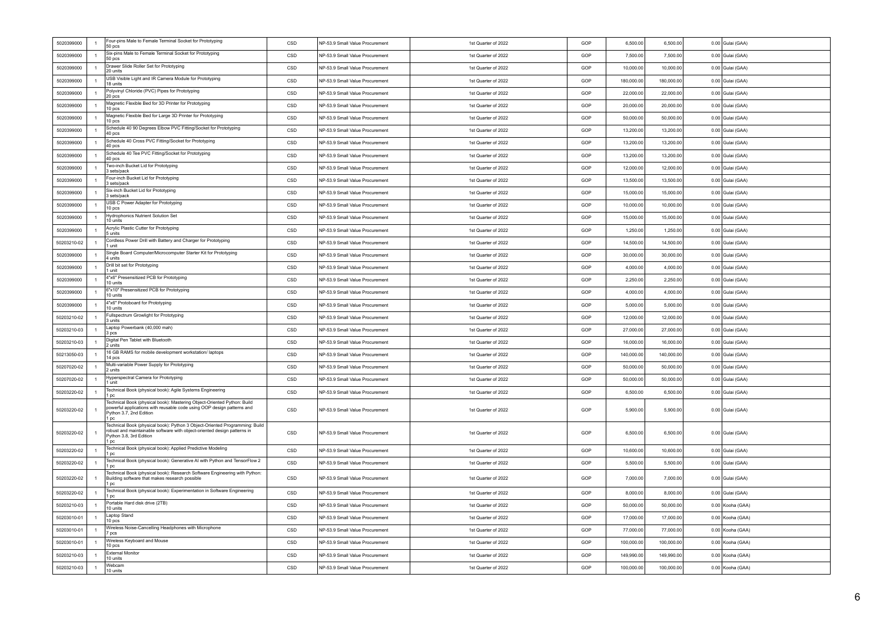| 5020399000  | $\overline{1}$ | Four-pins Male to Female Terminal Socket for Prototyping<br>50 <sub>pos</sub>                                                                                                              | CSD | NP-53.9 Small Value Procurement | 1st Quarter of 2022 | GOP | 6,500.00   | 6,500.00   | 0.00 Gulai (GAA) |
|-------------|----------------|--------------------------------------------------------------------------------------------------------------------------------------------------------------------------------------------|-----|---------------------------------|---------------------|-----|------------|------------|------------------|
| 5020399000  | $\overline{1}$ | Six-pins Male to Female Terminal Socket for Prototyping<br>50 pcs                                                                                                                          | CSD | NP-53.9 Small Value Procurement | 1st Quarter of 2022 | GOP | 7,500.00   | 7,500.00   | 0.00 Gulai (GAA) |
| 5020399000  | $\overline{1}$ | Drawer Slide Roller Set for Prototyping<br>20 units                                                                                                                                        | CSD | NP-53.9 Small Value Procurement | 1st Quarter of 2022 | GOP | 10,000.00  | 10,000.00  | 0.00 Gulai (GAA) |
| 5020399000  | $\overline{1}$ | USB Visible Light and IR Camera Module for Prototyping<br>18 units                                                                                                                         | CSD | NP-53.9 Small Value Procurement | 1st Quarter of 2022 | GOP | 180,000.00 | 180,000.00 | 0.00 Gulai (GAA) |
| 5020399000  | $\overline{1}$ | Polyvinyl Chloride (PVC) Pipes for Prototyping<br>20 pcs                                                                                                                                   | CSD | NP-53.9 Small Value Procurement | 1st Quarter of 2022 | GOP | 22,000.00  | 22,000.00  | 0.00 Gulai (GAA) |
| 5020399000  | $\overline{1}$ | Magnetic Flexible Bed for 3D Printer for Prototyping<br>10 pcs                                                                                                                             | CSD | NP-53.9 Small Value Procurement | 1st Quarter of 2022 | GOP | 20,000.00  | 20,000.00  | 0.00 Gulai (GAA) |
| 5020399000  | $\overline{1}$ | Magnetic Flexible Bed for Large 3D Printer for Prototyping<br>10 pcs                                                                                                                       | CSD | NP-53.9 Small Value Procurement | 1st Quarter of 2022 | GOP | 50,000.00  | 50,000.00  | 0.00 Gulai (GAA) |
| 5020399000  | $\overline{1}$ | Schedule 40 90 Degrees Elbow PVC Fitting/Socket for Prototyping<br>40 pcs                                                                                                                  | CSD | NP-53.9 Small Value Procurement | 1st Quarter of 2022 | GOP | 13,200.00  | 13,200.00  | 0.00 Gulai (GAA) |
| 5020399000  | $\overline{1}$ | Schedule 40 Cross PVC Fitting/Socket for Prototyping<br>40 pcs                                                                                                                             | CSD | NP-53.9 Small Value Procurement | 1st Quarter of 2022 | GOP | 13,200.00  | 13,200.00  | 0.00 Gulai (GAA) |
| 5020399000  | $\overline{1}$ | Schedule 40 Tee PVC Fitting/Socket for Prototyping<br>40 pcs                                                                                                                               | CSD | NP-53.9 Small Value Procurement | 1st Quarter of 2022 | GOP | 13,200.00  | 13,200.00  | 0.00 Gulai (GAA) |
| 5020399000  | $\overline{1}$ | Two-inch Bucket Lid for Prototyping<br>3 sets/pack                                                                                                                                         | CSD | NP-53.9 Small Value Procurement | 1st Quarter of 2022 | GOP | 12,000.00  | 12.000.00  | 0.00 Gulai (GAA) |
| 5020399000  | $\overline{1}$ | Four-inch Bucket Lid for Prototyping<br>sets/pack                                                                                                                                          | CSD | NP-53.9 Small Value Procurement | 1st Quarter of 2022 | GOP | 13,500.00  | 13,500.00  | 0.00 Gulai (GAA) |
| 5020399000  | $\overline{1}$ | Six-inch Bucket Lid for Prototyping<br>3 sets/pack                                                                                                                                         | CSD | NP-53.9 Small Value Procurement | 1st Quarter of 2022 | GOP | 15,000.00  | 15,000.00  | 0.00 Gulai (GAA) |
| 5020399000  | $\overline{1}$ | USB C Power Adapter for Prototyping<br>10 pcs                                                                                                                                              | CSD | NP-53.9 Small Value Procurement | 1st Quarter of 2022 | GOP | 10,000.00  | 10,000.00  | 0.00 Gulai (GAA) |
| 5020399000  | $\overline{1}$ | Hydrophonics Nutrient Solution Set<br>10 units                                                                                                                                             | CSD | NP-53.9 Small Value Procurement | 1st Quarter of 2022 | GOP | 15,000.00  | 15,000.00  | 0.00 Gulai (GAA) |
| 5020399000  | $\overline{1}$ | Acrylic Plastic Cutter for Prototyping<br>5 units                                                                                                                                          | CSD | NP-53.9 Small Value Procurement | 1st Quarter of 2022 | GOP | 1.250.00   | 1,250.00   | 0.00 Gulai (GAA) |
| 50203210-02 | $\overline{1}$ | Cordless Power Drill with Battery and Charger for Prototyping<br>1 unit                                                                                                                    | CSD | NP-53.9 Small Value Procurement | 1st Quarter of 2022 | GOP | 14,500.00  | 14.500.00  | 0.00 Gulai (GAA) |
| 5020399000  | $\overline{1}$ | Single Board Computer/Microcomputer Starter Kit for Prototyping<br>4 units                                                                                                                 | CSD | NP-53.9 Small Value Procurement | 1st Quarter of 2022 | GOP | 30,000.00  | 30,000.00  | 0.00 Gulai (GAA) |
| 5020399000  | $\overline{1}$ | Drill bit set for Prototyping<br>1 unit                                                                                                                                                    | CSD | NP-53.9 Small Value Procurement | 1st Quarter of 2022 | GOP | 4.000.00   | 4,000.00   | 0.00 Gulai (GAA) |
| 5020399000  | $\overline{1}$ | 4"x6" Presensitized PCB for Prototyping<br>10 units                                                                                                                                        | CSD | NP-53.9 Small Value Procurement | 1st Quarter of 2022 | GOP | 2,250.00   | 2,250.00   | 0.00 Gulai (GAA) |
| 5020399000  | $\overline{1}$ | 6"x10" Presensitized PCB for Prototyping<br>10 units                                                                                                                                       | CSD | NP-53.9 Small Value Procurement | 1st Quarter of 2022 | GOP | 4.000.00   | 4.000.00   | 0.00 Gulai (GAA) |
| 5020399000  | $\overline{1}$ | 4"x6" Protoboard for Prototyping<br>10 units                                                                                                                                               | CSD | NP-53.9 Small Value Procurement | 1st Quarter of 2022 | GOP | 5.000.00   | 5.000.00   | 0.00 Gulai (GAA) |
| 50203210-02 | $\overline{1}$ | Fullspectrum Growlight for Prototyping<br>3 units                                                                                                                                          | CSD | NP-53.9 Small Value Procurement | 1st Quarter of 2022 | GOP | 12,000.00  | 12,000.00  | 0.00 Gulai (GAA) |
| 50203210-03 | $\overline{1}$ | Laptop Powerbank (40,000 mah)<br>3 pcs                                                                                                                                                     | CSD | NP-53.9 Small Value Procurement | 1st Quarter of 2022 | GOP | 27,000.00  | 27,000.00  | 0.00 Gulai (GAA) |
| 50203210-03 | $\overline{1}$ | Digital Pen Tablet with Bluetooth<br>2 units                                                                                                                                               | CSD | NP-53.9 Small Value Procurement | 1st Quarter of 2022 | GOP | 16,000.00  | 16,000.00  | 0.00 Gulai (GAA) |
| 50213050-03 | $\overline{1}$ | 16 GB RAMS for mobile development workstation/ laptops<br>14 pcs                                                                                                                           | CSD | NP-53.9 Small Value Procurement | 1st Quarter of 2022 | GOP | 140,000.00 | 140,000.00 | 0.00 Gulai (GAA) |
| 50207020-02 | $\overline{1}$ | Multi-variable Power Supply for Prototyping<br>2 units                                                                                                                                     | CSD | NP-53.9 Small Value Procurement | 1st Quarter of 2022 | GOP | 50,000.00  | 50,000.00  | 0.00 Gulai (GAA) |
| 50207020-02 | $\overline{1}$ | Hyperspectral Camera for Prototyping<br>1 unit                                                                                                                                             | CSD | NP-53.9 Small Value Procurement | 1st Quarter of 2022 | GOP | 50,000.00  | 50,000.00  | 0.00 Gulai (GAA) |
| 50203220-02 | $\mathbf{1}$   | Technical Book (physical book): Agile Systems Engineering<br>1 pc                                                                                                                          | CSD | NP-53.9 Small Value Procurement | 1st Quarter of 2022 | GOP | 6,500.00   | 6,500.00   | 0.00 Gulai (GAA) |
| 50203220-02 | $\overline{1}$ | Technical Book (physical book): Mastering Object-Oriented Python: Build<br>powerful applications with reusable code using OOP design patterns and<br>Python 3.7, 2nd Edition<br>1 pc       | CSD | NP-53.9 Small Value Procurement | 1st Quarter of 2022 | GOP | 5.900.00   | 5,900.00   | 0.00 Gulai (GAA) |
| 50203220-02 | $\overline{1}$ | Technical Book (physical book): Python 3 Object-Oriented Programming: Build<br>robust and maintainable software with object-oriented design patterns in<br>Python 3.8, 3rd Edition<br>1 pc | CSD | NP-53.9 Small Value Procurement | 1st Quarter of 2022 | GOP | 6,500.00   | 6,500.00   | 0.00 Gulai (GAA) |
| 50203220-02 | $\overline{1}$ | Technical Book (physical book): Applied Predictive Modeling<br>1 pc                                                                                                                        | CSD | NP-53.9 Small Value Procurement | 1st Quarter of 2022 | GOP | 10,600.00  | 10,600.00  | 0.00 Gulai (GAA) |
| 50203220-02 | $\overline{1}$ | Technical Book (physical book): Generative AI with Python and TensorFlow 2                                                                                                                 | CSD | NP-53.9 Small Value Procurement | 1st Quarter of 2022 | GOP | 5,500.00   | 5,500.00   | 0.00 Gulai (GAA) |
| 50203220-02 | $\overline{1}$ | Technical Book (physical book): Research Software Engineering with Python:<br>Building software that makes research possible<br>1 pc                                                       | CSD | NP-53.9 Small Value Procurement | 1st Quarter of 2022 | GOP | 7.000.00   | 7.000.00   | 0.00 Gulai (GAA) |
| 50203220-02 | $\overline{1}$ | Technical Book (physical book): Experimentation in Software Engineering<br>1 pc                                                                                                            | CSD | NP-53.9 Small Value Procurement | 1st Quarter of 2022 | GOP | 8,000.00   | 8,000.00   | 0.00 Gulai (GAA) |
| 50203210-03 | $\overline{1}$ | Portable Hard disk drive (2TB)<br>10 units                                                                                                                                                 | CSD | NP-53.9 Small Value Procurement | 1st Quarter of 2022 | GOP | 50,000.00  | 50,000.00  | 0.00 Kooha (GAA) |
| 50203010-01 | $\overline{1}$ | Laptop Stand<br>10 pcs                                                                                                                                                                     | CSD | NP-53.9 Small Value Procurement | 1st Quarter of 2022 | GOP | 17,000.00  | 17,000.00  | 0.00 Kooha (GAA) |
| 50203010-01 | $\overline{1}$ | Wireless Noise-Cancelling Headphones with Microphone<br>7 pcs                                                                                                                              | CSD | NP-53.9 Small Value Procurement | 1st Quarter of 2022 | GOP | 77,000.00  | 77,000.00  | 0.00 Kooha (GAA) |
| 50203010-01 | $\overline{1}$ | Wireless Keyboard and Mouse<br>10 pcs                                                                                                                                                      | CSD | NP-53.9 Small Value Procurement | 1st Quarter of 2022 | GOP | 100.000.00 | 100.000.00 | 0.00 Kooha (GAA) |
| 50203210-03 | $\overline{1}$ | <b>External Monitor</b><br>10 units                                                                                                                                                        | CSD | NP-53.9 Small Value Procurement | 1st Quarter of 2022 | GOP | 149,990.00 | 149.990.00 | 0.00 Kooha (GAA) |
| 50203210-03 | $\overline{1}$ | Webcam<br>10 units                                                                                                                                                                         | CSD | NP-53.9 Small Value Procurement | 1st Quarter of 2022 | GOP | 100,000.00 | 100,000.00 | 0.00 Kooha (GAA) |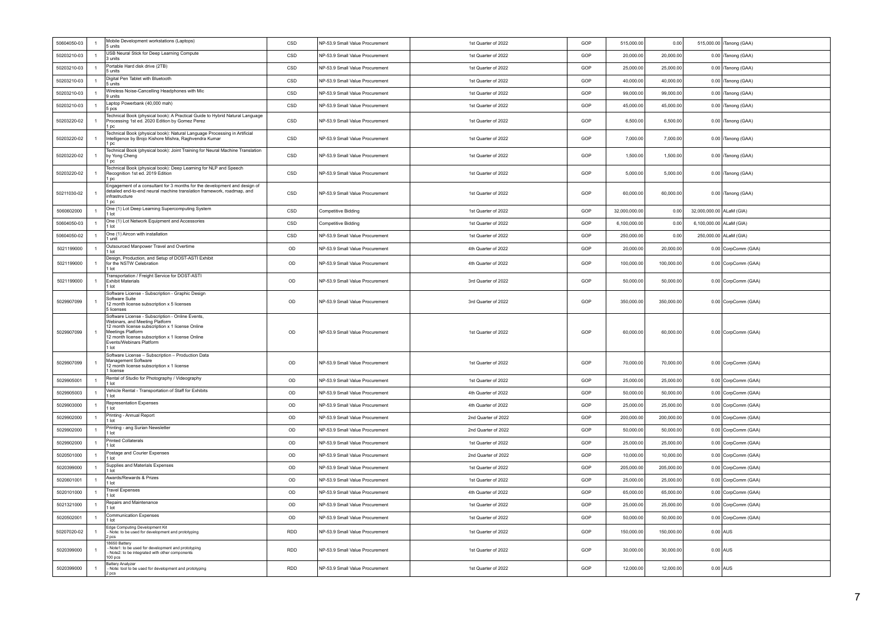| 50604050-03 | $\overline{1}$ | Mobile Development workstations (Laptops)<br>5 units                                                                                                                                                                                                 | CSD        | NP-53.9 Small Value Procurement | 1st Quarter of 2022 | GOP | 515,000.00    | 0.00       |                          | 515,000.00 Tanong (GAA) |
|-------------|----------------|------------------------------------------------------------------------------------------------------------------------------------------------------------------------------------------------------------------------------------------------------|------------|---------------------------------|---------------------|-----|---------------|------------|--------------------------|-------------------------|
| 50203210-03 | $\overline{1}$ | USB Neural Stick for Deep Learning Compute<br>3 units                                                                                                                                                                                                | CSD        | NP-53.9 Small Value Procurement | 1st Quarter of 2022 | GOP | 20,000.00     | 20,000.00  |                          | 0.00 Tanong (GAA)       |
| 50203210-03 | $\overline{1}$ | Portable Hard disk drive (2TB)<br>5 units                                                                                                                                                                                                            | CSD        | NP-53.9 Small Value Procurement | 1st Quarter of 2022 | GOP | 25,000.00     | 25,000.00  |                          | 0.00 Tanong (GAA)       |
| 50203210-03 | $\overline{1}$ | Digital Pen Tablet with Bluetooth<br>5 units                                                                                                                                                                                                         | CSD        | NP-53.9 Small Value Procurement | 1st Quarter of 2022 | GOP | 40.000.00     | 40.000.00  |                          | 0.00 Tanong (GAA)       |
| 50203210-03 | $\overline{1}$ | Wireless Noise-Cancelling Headphones with Mic<br>9 units                                                                                                                                                                                             | CSD        | NP-53.9 Small Value Procurement | 1st Quarter of 2022 | GOP | 99.000.00     | 99,000.00  |                          | 0.00 Tanong (GAA)       |
| 50203210-03 | $\overline{1}$ | Laptop Powerbank (40,000 mah)<br>5 pcs                                                                                                                                                                                                               | CSD        | NP-53.9 Small Value Procurement | 1st Quarter of 2022 | GOP | 45,000.00     | 45,000.00  |                          | 0.00 Tanong (GAA)       |
| 50203220-02 |                | Technical Book (physical book): A Practical Guide to Hybrid Natural Language<br>Processing 1st ed. 2020 Edition by Gomez Perez<br>1 pc                                                                                                               | CSD        | NP-53.9 Small Value Procurement | 1st Quarter of 2022 | GOP | 6,500.00      | 6,500.00   |                          | 0.00 Tanong (GAA)       |
| 50203220-02 | $\overline{1}$ | Technical Book (physical book): Natural Language Processing in Artificial<br>Intelligence by Brojo Kishore Mishra, Raghvendra Kumar<br>1 pc                                                                                                          | CSD        | NP-53.9 Small Value Procurement | 1st Quarter of 2022 | GOP | 7,000.00      | 7,000.00   |                          | 0.00 Tanong (GAA)       |
| 50203220-02 |                | Technical Book (physical book): Joint Training for Neural Machine Translation<br>by Yong Cheng<br>1 pc                                                                                                                                               | CSD        | NP-53.9 Small Value Procurement | 1st Quarter of 2022 | GOP | 1.500.00      | 1,500.00   |                          | 0.00 Tanong (GAA)       |
| 50203220-02 |                | Technical Book (physical book): Deep Learning for NLP and Speech<br>Recognition 1st ed. 2019 Edition<br>1 pc                                                                                                                                         | CSD        | NP-53.9 Small Value Procurement | 1st Quarter of 2022 | GOP | 5,000.00      | 5,000.00   |                          | 0.00 Tanong (GAA)       |
| 50211030-02 |                | Engagement of a consultant for 3 months for the development and design of<br>detailed end-to-end neural machine translation framework, roadmap, and<br>infrastructure<br>1 pc                                                                        | CSD        | NP-53.9 Small Value Procurement | 1st Quarter of 2022 | GOP | 60,000.00     | 60,000.00  |                          | 0.00 Tanong (GAA)       |
| 5060602000  | $\overline{1}$ | One (1) Lot Deep Learning Supercomputing System<br>1 lot                                                                                                                                                                                             | CSD        | Competitive Bidding             | 1st Quarter of 2022 | GOP | 32.000.000.00 | 0.00       | 32,000,000.00 ALaM (GIA) |                         |
| 50604050-03 | $\overline{1}$ | One (1) Lot Network Equipment and Accessories<br>1 lot                                                                                                                                                                                               | CSD        | <b>Competitive Bidding</b>      | 1st Quarter of 2022 | GOP | 6,100,000.00  | 0.00       | 6,100,000.00 ALaM (GIA)  |                         |
| 50604050-02 | $\overline{1}$ | One (1) Aircon with installation<br>unit                                                                                                                                                                                                             | CSD        | NP-53.9 Small Value Procurement | 1st Quarter of 2022 | GOP | 250,000.00    | 0.00       |                          | 250,000.00 ALaM (GIA)   |
| 5021199000  | $\overline{1}$ | Outsourced Manpower Travel and Overtime<br>1 lot                                                                                                                                                                                                     | OD         | NP-53.9 Small Value Procurement | 4th Quarter of 2022 | GOP | 20,000.00     | 20,000.00  |                          | 0.00 CorpComm (GAA)     |
| 5021199000  |                | Design, Production, and Setup of DOST-ASTI Exhibit<br>for the NSTW Celebration<br>1 lot                                                                                                                                                              | OD         | NP-53.9 Small Value Procurement | 4th Quarter of 2022 | GOP | 100,000.00    | 100,000.00 |                          | 0.00 CorpComm (GAA)     |
| 5021199000  | $\mathbf{1}$   | Transportation / Freight Service for DOST-ASTI<br><b>Exhibit Materials</b><br>1 lot                                                                                                                                                                  | OD         | NP-53.9 Small Value Procurement | 3rd Quarter of 2022 | GOP | 50,000.00     | 50,000.00  |                          | 0.00 CorpComm (GAA)     |
| 5029907099  | $\overline{1}$ | Software License - Subscription - Graphic Design<br>Software Suite<br>12 month license subscription x 5 licenses<br>5 licenses                                                                                                                       | OD         | NP-53.9 Small Value Procurement | 3rd Quarter of 2022 | GOP | 350.000.00    | 350.000.00 |                          | 0.00 CorpComm (GAA)     |
| 5029907099  |                | Software License - Subscription - Online Events,<br>Webinars, and Meeting Platform<br>12 month license subscription x 1 license Online<br>Meetings Platform<br>12 month license subscription x 1 license Online<br>Events/Webinars Platform<br>1 lot | OD         | NP-53.9 Small Value Procurement | 1st Quarter of 2022 | GOP | 60,000.00     | 60,000.00  |                          | 0.00 CorpComm (GAA)     |
| 5029907099  |                | Software License - Subscription - Production Data<br>Management Software<br>12 month license subscription x 1 license<br>1 license                                                                                                                   | OD         | NP-53.9 Small Value Procurement | 1st Quarter of 2022 | GOP | 70,000.00     | 70,000.00  |                          | 0.00 CorpComm (GAA)     |
| 5029905001  | $\mathbf{1}$   | Rental of Studio for Photography / Videography<br>1 lot                                                                                                                                                                                              | OD         | NP-53.9 Small Value Procurement | 1st Quarter of 2022 | GOP | 25,000.00     | 25,000.00  |                          | 0.00 CorpComm (GAA)     |
| 5029905003  | $\overline{1}$ | Vehicle Rental - Transportation of Staff for Exhibits<br>1 lot                                                                                                                                                                                       | OD         | NP-53.9 Small Value Procurement | 4th Quarter of 2022 | GOP | 50,000.00     | 50,000.00  |                          | 0.00 CorpComm (GAA)     |
| 5029903000  | $\mathbf{1}$   | Representation Expenses<br>$1$ lot                                                                                                                                                                                                                   | OD         | NP-53.9 Small Value Procurement | 4th Quarter of 2022 | GOP | 25,000.00     | 25,000.00  |                          | 0.00 CorpComm (GAA)     |
| 5029902000  | $\overline{1}$ | Printing - Annual Report<br>1 lot                                                                                                                                                                                                                    | OD         | NP-53.9 Small Value Procurement | 2nd Quarter of 2022 | GOP | 200,000.00    | 200,000.00 |                          | 0.00 CorpComm (GAA)     |
| 5029902000  | $\mathbf{1}$   | Printing - ang Surian Newsletter<br>1 lot                                                                                                                                                                                                            | OD         | NP-53.9 Small Value Procurement | 2nd Quarter of 2022 | GOP | 50,000.00     | 50,000.00  |                          | 0.00 CorpComm (GAA)     |
| 5029902000  | $\overline{1}$ | <b>Printed Collaterals</b><br>$1$ lot                                                                                                                                                                                                                | OD         | NP-53.9 Small Value Procurement | 1st Quarter of 2022 | GOP | 25,000.00     | 25,000.00  |                          | 0.00 CorpComm (GAA)     |
| 5020501000  | $\overline{1}$ | Postage and Courier Expenses<br>1 lot                                                                                                                                                                                                                | OD         | NP-53.9 Small Value Procurement | 2nd Quarter of 2022 | GOP | 10.000.00     | 10.000.00  |                          | 0.00 CorpComm (GAA)     |
| 5020399000  | $\overline{1}$ | Supplies and Materials Expenses<br>1 lot                                                                                                                                                                                                             | OD         | NP-53.9 Small Value Procurement | 1st Quarter of 2022 | GOP | 205,000.00    | 205.000.00 |                          | 0.00 CorpComm (GAA)     |
| 5020601001  | $\overline{1}$ | Awards/Rewards & Prizes<br>1 lot<br><b>Travel Expenses</b>                                                                                                                                                                                           | OD         | NP-53.9 Small Value Procurement | 1st Quarter of 2022 | GOP | 25,000.00     | 25,000.00  |                          | 0.00 CorpComm (GAA)     |
| 5020101000  | $\overline{1}$ | 1 lot                                                                                                                                                                                                                                                | OD         | NP-53.9 Small Value Procurement | 4th Quarter of 2022 | GOP | 65,000.00     | 65,000.00  |                          | 0.00 CorpComm (GAA)     |
| 5021321000  | $\mathbf{1}$   | Repairs and Maintenance<br>$1$ Int                                                                                                                                                                                                                   | OD         | NP-53.9 Small Value Procurement | 1st Quarter of 2022 | GOP | 25,000.00     | 25,000.00  |                          | 0.00 CorpComm (GAA)     |
| 5020502001  | $\mathbf{1}$   | Communication Expenses<br>1 lot                                                                                                                                                                                                                      | OD         | NP-53.9 Small Value Procurement | 1st Quarter of 2022 | GOP | 50,000.00     | 50,000.00  |                          | 0.00 CorpComm (GAA)     |
| 50207020-02 |                | Edge Computing Development Kit<br>Note: to be used for development and prototyping<br>2 pcs<br>18650 Battery                                                                                                                                         | <b>RDD</b> | NP-53.9 Small Value Procurement | 1st Quarter of 2022 | GOP | 150,000.00    | 150,000.00 | $0.00$ AUS               |                         |
| 5020399000  |                | - Note1: to be used for development and prototyping<br>- Note2: to be integrated with other components<br>100 pcs                                                                                                                                    | RDD        | NP-53.9 Small Value Procurement | 1st Quarter of 2022 | GOP | 30,000.00     | 30,000.00  |                          | $0.00$ AUS              |
| 5020399000  | $\overline{1}$ | <b>Battery Analyzer</b><br>- Note: tool to be used for development and prototyping<br>2 pcs                                                                                                                                                          | <b>RDD</b> | NP-53.9 Small Value Procurement | 1st Quarter of 2022 | GOP | 12,000.00     | 12,000.00  | $0.00$ AUS               |                         |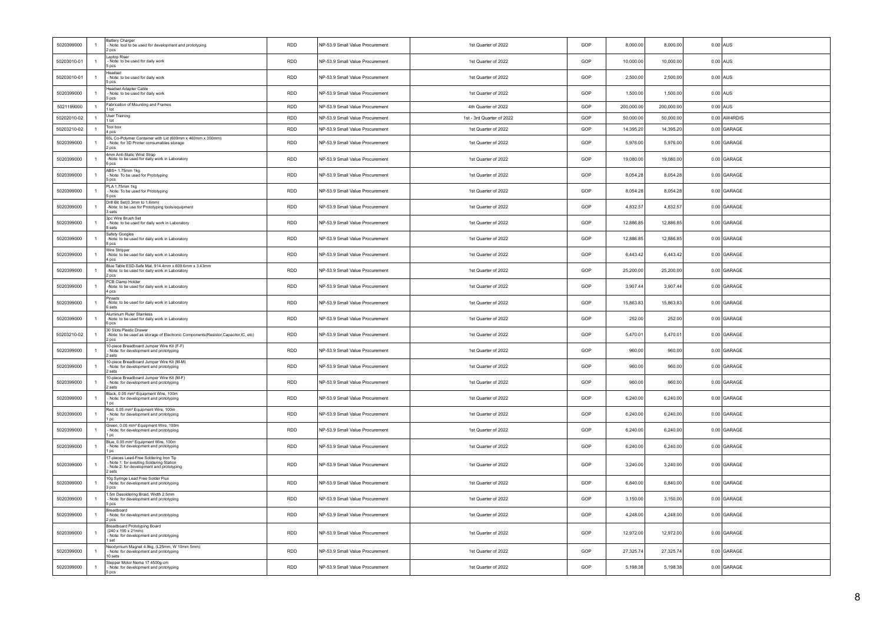| 5020399000  | $\overline{1}$ | Battery Charger<br>- Note: tool to be used for development and prototyping<br>2 pcs                                                                | <b>RDD</b> | NP-53.9 Small Value Procurement | 1st Quarter of 2022       | GOP | 8,000.00   | 8,000.00   |            | $0.00$ AUS    |
|-------------|----------------|----------------------------------------------------------------------------------------------------------------------------------------------------|------------|---------------------------------|---------------------------|-----|------------|------------|------------|---------------|
| 50203010-01 | $\mathbf{1}$   | Laptop Riser<br>- Note: to be used for daily work<br>5 pcs                                                                                         | <b>RDD</b> | NP-53.9 Small Value Procurement | 1st Quarter of 2022       | GOP | 10,000.00  | 10,000.00  |            | $0.00$ AUS    |
| 50203010-01 | $\mathbf{1}$   | Headset<br>- Note: to be used for daily work<br>5 pcs                                                                                              | <b>RDD</b> | NP-53.9 Small Value Procurement | 1st Quarter of 2022       | GOP | 2,500.00   | 2,500.00   | $0.00$ AUS |               |
| 5020399000  | $\mathbf{1}$   | <b>Headset Adapter Cable</b><br>- Note: to be used for daily work<br>5 pcs                                                                         | <b>RDD</b> | NP-53.9 Small Value Procurement | 1st Quarter of 2022       | GOP | 1,500.00   | 1,500.00   |            | $0.00$ AUS    |
| 5021199000  | $\overline{1}$ | Fabrication of Mounting and Frames<br>$1$ Int                                                                                                      | <b>RDD</b> | NP-53.9 Small Value Procurement | 4th Quarter of 2022       | GOP | 200,000.00 | 200,000.00 | $0.00$ AUS |               |
| 50202010-02 | $\overline{1}$ | User Training<br>1 lot                                                                                                                             | <b>RDD</b> | NP-53.9 Small Value Procurement | 1st - 3rd Quarter of 2022 | GOP | 50,000.00  | 50,000.00  |            | 0.00 AW4RDIS  |
| 50203210-02 | $\mathbf{1}$   | Tool box                                                                                                                                           | <b>RDD</b> | NP-53.9 Small Value Procurement | 1st Quarter of 2022       | GOP | 14,395.20  | 14,395.20  |            | 0.00 GARAGE   |
| 5020399000  | $\overline{1}$ | 4 pcs<br>65L Co-Polymer Container with Lid (600mm x 460mm x 350mm)<br>- Note: for 3D Printer consumables storage<br>2 pcs                          | <b>RDD</b> | NP-53.9 Small Value Procurement | 1st Quarter of 2022       | GOP | 5,976.00   | 5,976.00   |            | 0.00 GARAGE   |
| 5020399000  | $\overline{1}$ | 4mm Anti-Static Wrist Strap<br>-Note: to be used for daily work in Laboratory<br>6 pcs                                                             | <b>RDD</b> | NP-53.9 Small Value Procurement | 1st Quarter of 2022       | GOP | 19,080.00  | 19,080.00  |            | 0.00 GARAGE   |
| 5020399000  | $\overline{1}$ | ABS+ 1.75mm 1kg<br>- Note: To be used for Prototyping<br>5 pcs                                                                                     | <b>RDD</b> | NP-53.9 Small Value Procurement | 1st Quarter of 2022       | GOP | 8,054.28   | 8,054.28   |            | 0.00 GARAGE   |
| 5020399000  | $\mathbf{1}$   | PLA 1.75mm 1kg<br>- Note: To be used for Prototyping<br>5 pcs                                                                                      | <b>RDD</b> | NP-53.9 Small Value Procurement | 1st Quarter of 2022       | GOP | 8,054.28   | 8,054.28   |            | 0.00 GARAGE   |
| 5020399000  | $\overline{1}$ | Drill Bit Set(0.3mm to 1.6mm)<br>-Note: to be use for Prototyping tools/equipment<br>3 sets                                                        | <b>RDD</b> | NP-53.9 Small Value Procurement | 1st Quarter of 2022       | GOP | 4,832.57   | 4,832.57   |            | 0.00 GARAGE   |
| 5020399000  | $\overline{1}$ | 3pc Wire Brush Set<br>- Note: to be used for daily work in Laboratory<br>8 sets                                                                    | <b>RDD</b> | NP-53.9 Small Value Procurement | 1st Quarter of 2022       | GOP | 12,886.85  | 12,886.85  |            | 0.00 GARAGE   |
| 5020399000  | $\overline{1}$ | Safety Googles<br>-Note: to be used for daily work in Laboratory<br>8 pcs                                                                          | <b>RDD</b> | NP-53.9 Small Value Procurement | 1st Quarter of 2022       | GOP | 12 886 85  | 12.886.85  |            | 0.00 GARAGE   |
| 5020399000  | $\overline{1}$ | Wire Stripper<br>-Note: to be used for daily work in Laboratory<br>4 pcs                                                                           | <b>RDD</b> | NP-53.9 Small Value Procurement | 1st Quarter of 2022       | GOP | 6,443.42   | 6,443.42   |            | 0.00 GARAGE   |
| 5020399000  | $\overline{1}$ | Blue Table ESD-Safe Mat. 914.4mm x 609.6mm x 3.43mm<br>-Note: to be used for daily work in Laboratory<br>2 pcs                                     | RDD        | NP-53.9 Small Value Procurement | 1st Quarter of 2022       | GOP | 25,200.00  | 25,200.00  |            | $0.00$ GARAGE |
| 5020399000  | $\mathbf{1}$   | PCB Clamp Holder<br>-Note: to be used for daily work in Laboratory<br>4 pcs                                                                        | RDD        | NP-53.9 Small Value Procurement | 1st Quarter of 2022       | GOP | 3,907.44   | 3,907.44   |            | $0.00$ GARAGE |
| 5020399000  | $\overline{1}$ | Pinsets<br>-Note: to be used for daily work in Laboratory<br>6 sets                                                                                | <b>RDD</b> | NP-53.9 Small Value Procurement | 1st Quarter of 2022       | GOP | 15,863.83  | 15,863.83  |            | 0.00 GARAGE   |
| 5020399000  | $\overline{1}$ | Aluminum Ruler Stainless<br>-Note: to be used for daily work in Laboratory<br>6 pcs<br>30 Slots Plastic Drawer                                     | <b>RDD</b> | NP-53.9 Small Value Procurement | 1st Quarter of 2022       | GOP | 252.00     | 252.00     |            | 0.00 GARAGE   |
| 50203210-02 | $\overline{1}$ | -Note: to be used as storage of Electronic Components(Resistor,Capacitor,IC, etc)<br>2 pcs                                                         | <b>RDD</b> | NP-53.9 Small Value Procurement | 1st Quarter of 2022       | GOP | 5.470.01   | 5,470.01   |            | 0.00 GARAGE   |
| 5020399000  | $\overline{1}$ | 10-piece Breadboard Jumper Wire Kit (F-F)<br>- Note: for development and prototyping<br>2 sets                                                     | <b>RDD</b> | NP-53.9 Small Value Procurement | 1st Quarter of 2022       | GOP | 960.00     | 960.00     |            | 0.00 GARAGE   |
| 5020399000  | $\overline{1}$ | 10-piece Breadboard Jumper Wire Kit (M-M)<br>- Note: for development and prototyping<br>sets                                                       | RDD        | NP-53.9 Small Value Procurement | 1st Quarter of 2022       | GOP | 960.00     | 960.00     |            | 0.00 GARAGE   |
| 5020399000  | $\mathbf{1}$   | 10-piece Breadboard Jumper Wire Kit (M-F)<br>- Note: for development and prototyping<br>2 sets<br>Black, 0.05 mm <sup>2</sup> Equipment Wire, 100m | RDD        | NP-53.9 Small Value Procurement | 1st Quarter of 2022       | GOP | 960.00     | 960.00     |            | 0.00 GARAGE   |
| 5020399000  | $\mathbf{1}$   | - Note: for development and prototyping<br>1 pc                                                                                                    | <b>RDD</b> | NP-53.9 Small Value Procurement | 1st Quarter of 2022       | GOP | 6,240.00   | 6,240.00   |            | 0.00 GARAGE   |
| 5020399000  | $\mathbf{1}$   | Red, 0.05 mm <sup>2</sup> Equipment Wire, 100m<br>- Note: for development and prototyping<br>1 pc                                                  | <b>RDD</b> | NP-53.9 Small Value Procurement | 1st Quarter of 2022       | GOP | 6.240.00   | 6,240.00   |            | 0.00 GARAGE   |
| 5020399000  | $\overline{1}$ | Green, 0.05 mm <sup>2</sup> Equipment Wire, 100m<br>- Note: for development and prototyping<br>l pc                                                | <b>RDD</b> | NP-53.9 Small Value Procurement | 1st Quarter of 2022       | GOP | 6,240.00   | 6,240.00   |            | $0.00$ GARAGE |
| 5020399000  | $\overline{1}$ | Blue, 0.05 mm <sup>2</sup> Equipment Wire, 100m<br>- Note: for development and prototyping<br>1 pc                                                 | <b>RDD</b> | NP-53.9 Small Value Procurement | 1st Quarter of 2022       | GOP | 6.240.00   | 6,240.00   |            | 0.00 GARAGE   |
| 5020399000  | $\overline{1}$ | 17-pieces Lead-Free Soldering Iron Tip<br>- Note 1: for exisiting Soldering Station<br>- Note 2: for development and prototyping<br>2 sets         | <b>RDD</b> | NP-53.9 Small Value Procurement | 1st Quarter of 2022       | GOP | 3,240.00   | 3,240.00   |            | 0.00 GARAGE   |
| 5020399000  | $\overline{1}$ | 10g Syringe Lead Free Solder Flux<br>- Note: for development and prototyping<br>3 pcs                                                              | <b>RDD</b> | NP-53.9 Small Value Procurement | 1st Quarter of 2022       | GOP | 6.840.00   | 6,840.00   |            | 0.00 GARAGE   |
| 5020399000  | $\overline{1}$ | 1.5m Desoldering Braid, Width 2.5mm<br>- Note: for development and prototyping<br>5 pcs                                                            | <b>RDD</b> | NP-53.9 Small Value Procurement | 1st Quarter of 2022       | GOP | 3,150.00   | 3,150.00   |            | 0.00 GARAGE   |
| 5020399000  | $\overline{1}$ | Breadboard<br>- Note: for development and prototyping<br>2 pcs                                                                                     | RDD        | NP-53.9 Small Value Procurement | 1st Quarter of 2022       | GOP | 4.248.00   | 4.248.00   |            | 0.00 GARAGE   |
| 5020399000  | $\overline{1}$ | Breadboard Prototyping Board<br>(240 x 195 x 21mm)<br>Note: for development and prototyping<br>1 set                                               | <b>RDD</b> | NP-53.9 Small Value Procurement | 1st Quarter of 2022       | GOP | 12,972.00  | 12,972.00  |            | 0.00 GARAGE   |
| 5020399000  |                | Neodymium Magnet 4.9kg, (L25mm, W 10mm 5mm)<br>- Note: for development and prototyping<br>10 sets                                                  | <b>RDD</b> | NP-53.9 Small Value Procurement | 1st Quarter of 2022       | GOP | 27,325.74  | 27,325.74  |            | 0.00 GARAGE   |
| 5020399000  | $\overline{1}$ | Stepper Motor Nema 17 4500g-cm<br>- Note: for development and prototyping<br>5 pcs                                                                 | <b>RDD</b> | NP-53.9 Small Value Procurement | 1st Quarter of 2022       | GOP | 5,198.38   | 5,198.38   |            | 0.00 GARAGE   |
|             |                |                                                                                                                                                    |            |                                 |                           |     |            |            |            |               |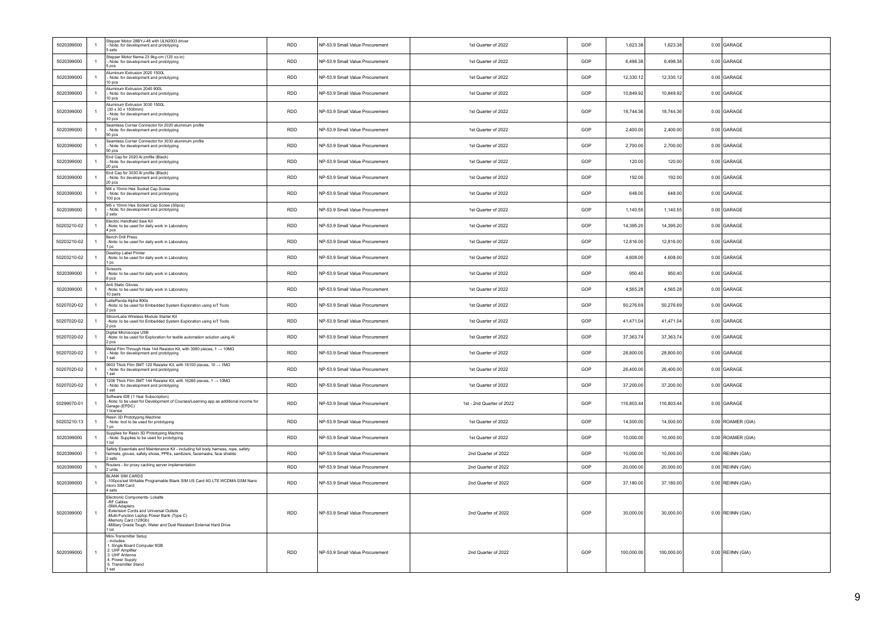| 5020399000  | Stepper Motor 28BYJ-48 with ULN2003 driver<br>- Note: for development and prototyping<br>$\overline{1}$<br>5 sets                                                                                                                                                                | <b>RDD</b> | NP-53.9 Small Value Procurement | 1st Quarter of 2022       | GOP | 1,623.38   | 1,623.38   | 0.00 GARAGE         |
|-------------|----------------------------------------------------------------------------------------------------------------------------------------------------------------------------------------------------------------------------------------------------------------------------------|------------|---------------------------------|---------------------------|-----|------------|------------|---------------------|
| 5020399000  | Stepper Motor Nema 23 9kg-cm (125 oz-in)<br>$\overline{1}$<br>- Note: for development and prototyping<br>5 pcs                                                                                                                                                                   | <b>RDD</b> | NP-53.9 Small Value Procurement | 1st Quarter of 2022       | GOP | 6,498.38   | 6,498.38   | 0.00 GARAGE         |
| 5020399000  | Aluminum Extrusion 2020 1500L<br>$\mathbf{1}$<br>- Note: for development and prototyping<br>10 pcs                                                                                                                                                                               | RDD        | NP-53.9 Small Value Procurement | 1st Quarter of 2022       | GOP | 12,330.12  | 12,330.12  | 0.00 GARAGE         |
| 5020399000  | Aluminum Extrusion 2040 900L<br>- Note: for development and prototyping<br>$\overline{1}$<br>10 pcs                                                                                                                                                                              | <b>RDD</b> | NP-53.9 Small Value Procurement | 1st Quarter of 2022       | GOP | 10,849.92  | 10,849.92  | 0.00 GARAGE         |
| 5020399000  | Aluminum Extrusion 3030 1500L<br>$(30 \times 30 \times 1500$ mm)<br>$\overline{1}$<br>Note: for development and prototyping<br>10 pcs                                                                                                                                            | <b>RDD</b> | NP-53.9 Small Value Procurement | 1st Quarter of 2022       | GOP | 18,744.36  | 18,744.36  | 0.00 GARAGE         |
| 5020399000  | Seamless Corner Connector for 2020 aluminum profile<br>$\overline{1}$<br>- Note: for development and prototyping<br>50 pcs                                                                                                                                                       | <b>RDD</b> | NP-53.9 Small Value Procurement | 1st Quarter of 2022       | GOP | 2,400.00   | 2,400.00   | 0.00 GARAGE         |
| 5020399000  | Seamless Corner Connector for 3030 aluminum profile<br>$\overline{1}$<br>- Note: for development and prototyping<br>50 pcs                                                                                                                                                       | <b>RDD</b> | NP-53.9 Small Value Procurement | 1st Quarter of 2022       | GOP | 2,700.00   | 2,700.00   | 0.00 GARAGE         |
| 5020399000  | End Cap for 2020 Al profile (Black)<br>$\overline{1}$<br>- Note: for development and prototyping<br>20 pcs                                                                                                                                                                       | <b>RDD</b> | NP-53.9 Small Value Procurement | 1st Quarter of 2022       | GOP | 120.00     | 120.00     | 0.00 GARAGE         |
| 5020399000  | End Cap for 3030 Al profile (Black)<br>$\overline{1}$<br>- Note: for development and prototyping<br>20 pcs                                                                                                                                                                       | <b>RDD</b> | NP-53.9 Small Value Procurement | 1st Quarter of 2022       | GOP | 192.00     | 192.00     | 0.00 GARAGE         |
| 5020399000  | M4 x 10mm Hex Socket Cap Screw<br>$\overline{1}$<br>- Note: for development and prototyping<br>$100$ $pcs$                                                                                                                                                                       | <b>RDD</b> | NP-53.9 Small Value Procurement | 1st Quarter of 2022       | GOP | 648.00     | 648.00     | 0.00 GARAGE         |
| 5020399000  | M5 x 10mm Hex Socket Cap Screw (50pcs)<br>$\overline{1}$<br>- Note: for development and prototyping<br>2 sets                                                                                                                                                                    | <b>RDD</b> | NP-53.9 Small Value Procurement | 1st Quarter of 2022       | GOP | 1,140.55   | 1,140.55   | 0.00 GARAGE         |
| 50203210-02 | Electric Handheld Saw Kit<br>-Note: to be used for daily work in Laboratory<br>$\overline{1}$<br>4 pcs                                                                                                                                                                           | <b>RDD</b> | NP-53.9 Small Value Procurement | 1st Quarter of 2022       | GOP | 14,395.20  | 14,395.20  | 0.00 GARAGE         |
| 50203210-02 | <b>Bench Drill Press</b><br>$\overline{1}$<br>-Note: to be used for daily work in Laboratory<br>1 pc                                                                                                                                                                             | <b>RDD</b> | NP-53.9 Small Value Procurement | 1st Quarter of 2022       | GOP | 12,816.00  | 12,816.00  | 0.00 GARAGE         |
| 50203210-02 | Desktop Label Printer<br>$\overline{1}$<br>-Note: to be used for daily work in Laboratory<br>1 pc                                                                                                                                                                                | <b>RDD</b> | NP-53.9 Small Value Procurement | 1st Quarter of 2022       | GOP | 4,608.00   | 4,608.00   | 0.00 GARAGE         |
| 5020399000  | Scissors<br>$\overline{1}$<br>-Note: to be used for daily work in Laboratory<br>8 pcs                                                                                                                                                                                            | <b>RDD</b> | NP-53.9 Small Value Procurement | 1st Quarter of 2022       | GOP | 950.40     | 950.40     | 0.00 GARAGE         |
| 5020399000  | Anti Static Gloves<br>-Note: to be used for daily work in Laboratory<br>$\mathbf{1}$<br>10 pairs                                                                                                                                                                                 | <b>RDD</b> | NP-53.9 Small Value Procurement | 1st Quarter of 2022       | GOP | 4,565.28   | 4,565.28   | 0.00 GARAGE         |
| 50207020-02 | attePanda Alpha 800s<br>$\mathbf{1}$<br>-Note: to be used for Embedded System Exploration using IoT Tools<br>2 pcs                                                                                                                                                               | <b>RDD</b> | NP-53.9 Small Value Procurement | 1st Quarter of 2022       | GOP | 50,276.69  | 50,276.69  | 0.00 GARAGE         |
| 50207020-02 | SiliconLabs Wireless Module Starter Kit<br>-Note: to be used for Embedded System Exploration using IoT Tools<br>$\overline{1}$<br>2 pcs                                                                                                                                          | <b>RDD</b> | NP-53.9 Small Value Procurement | 1st Quarter of 2022       | GOP | 41,471.04  | 41,471.04  | 0.00 GARAGE         |
| 50207020-02 | Digital Microscope USB<br>$\overline{1}$<br>-Note: to be used for Exploration for textile automation solution using Al<br>2 pcs                                                                                                                                                  | <b>RDD</b> | NP-53.9 Small Value Procurement | 1st Quarter of 2022       | GOP | 37,363.74  | 37,363.74  | 0.00 GARAGE         |
| 50207020-02 | Metal Film Through Hole 144 Resistor Kit, with 3080 pieces, 1 → 10MΩ<br>- Note: for development and prototyping<br>$\overline{1}$<br>1 set                                                                                                                                       | <b>RDD</b> | NP-53.9 Small Value Procurement | 1st Quarter of 2022       | GOP | 28,800.00  | 28,800.00  | 0.00 GARAGE         |
| 50207020-02 | 0603 Thick Film SMT 120 Resistor Kit, with 18100 pieces, 10 $\rightarrow$ 1M $\Omega$<br>$\overline{1}$<br>- Note: for development and prototyping<br>1 set                                                                                                                      | <b>RDD</b> | NP-53.9 Small Value Procurement | 1st Quarter of 2022       | GOP | 26,400.00  | 26,400.00  | 0.00 GARAGE         |
| 50207020-02 | 1206 Thick Film SMT 144 Resistor Kit, with 16260 pieces, 1 $\rightarrow$ 10M $\Omega$<br>$\overline{1}$<br>- Note: for development and prototyping<br>I set                                                                                                                      | <b>RDD</b> | NP-53.9 Small Value Procurement | 1st Quarter of 2022       | GOP | 37,200.00  | 37,200.00  | 0.00 GARAGE         |
| 50299070-01 | Software IDE (1 Year Subscription)<br>-Note: to be used for Development of Courses/Learning app as additional income for<br>$\overline{1}$<br>Garage (EPDC)<br>1 license                                                                                                         | <b>RDD</b> | NP-53.9 Small Value Procurement | 1st - 2nd Quarter of 2022 | GOP | 116,803.44 | 116,803.44 | 0.00 GARAGE         |
| 50203210-13 | Resin 3D Prototyping Machine<br>- Note: tool to be used for prototyping<br>$\overline{1}$<br>1 pc                                                                                                                                                                                | RDD        | NP-53.9 Small Value Procurement | 1st Quarter of 2022       | GOP | 14,500.00  | 14,500.00  | 0.00 ROAMER (GIA)   |
| 5020399000  | Supplies for Resin 3D Prototyping Machine<br>- Note: Supplies to be used for prototyping<br>$\overline{1}$<br>1 lot                                                                                                                                                              | RDD        | NP-53.9 Small Value Procurement | 1st Quarter of 2022       | GOP | 10,000.00  | 10,000.00  | 0.00 ROAMER (GIA)   |
| 5020399000  | Safety Essentials and Maintenance Kit - including full body harness, rope, safety<br>helmets, gloves, safety shoes, PPEs, sanitizers, facemasks, face shields<br>$\mathbf{1}$<br>2 sets                                                                                          | <b>RDD</b> | NP-53.9 Small Value Procurement | 2nd Quarter of 2022       | GOP | 10,000.00  | 10,000.00  | $0.00$ REIINN (GIA) |
| 5020399000  | Routers - for proxy caching server implementation<br>$\overline{1}$<br>2 units                                                                                                                                                                                                   | <b>RDD</b> | NP-53.9 Small Value Procurement | 2nd Quarter of 2022       | GOP | 20,000.00  | 20,000.00  | $0.00$ REIINN (GIA) |
| 5020399000  | <b>BLANK SIM CARDS</b><br>-100pcs/set Writable Programable Blank SIM US Card 4G LTE WCDMA GSM Nano<br>$\overline{1}$<br>nicro SIM Card<br>a sets                                                                                                                                 | <b>RDD</b> | NP-53.9 Small Value Procurement | 2nd Quarter of 2022       | GOP | 37,180.00  | 37,180.00  | $0.00$ REIINN (GIA) |
| 5020399000  | Electronic Components- Lokalte<br>-RF Cables<br>-SMA Adanters<br>Extension Cords and Universal Outlets<br>$\overline{1}$<br>-Multi-Function Laptop Power Bank (Type C)<br>-Memory Card (128Gb)<br>-Military Grade Tough, Water and Dust Resistant External Hard Drive<br>$1$ Int | <b>RDD</b> | NP-53.9 Small Value Procurement | 2nd Quarter of 2022       | GOP | 30,000.00  | 30,000.00  | $0.00$ REIINN (GIA) |
| 5020399000  | Mini-Transmitter Setup<br>includes:<br>. Single Board Computer 8GB<br>2. UHF Amplifier<br>$\overline{1}$<br>3. UHF Antenna<br>. Power Supply<br>5. Transmitter Stand<br>set                                                                                                      | <b>RDD</b> | NP-53.9 Small Value Procurement | 2nd Quarter of 2022       | GOP | 100,000.00 | 100,000.00 | $0.00$ REIINN (GIA) |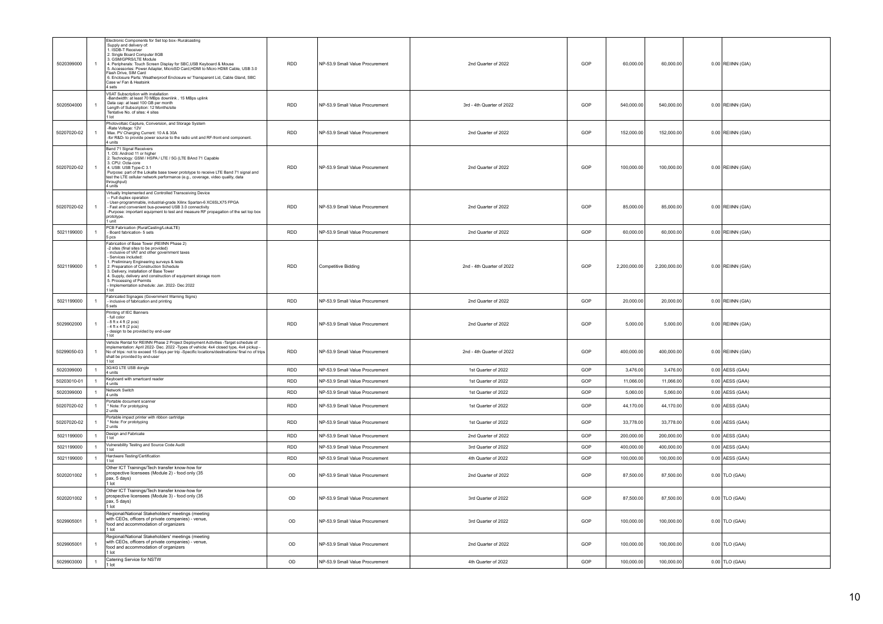| 5020399000  |                | Electronic Components for Set top box- Ruralcasting<br>Supply and delivery of:<br>1. ISDB-T Receiver<br>2. Single Board Computer 8GB<br>3. GSM/GPRS/LTE Module<br>4. Peripherals: Touch Screen Display for SBC,USB Keyboard & Mouse<br>5. Accessories: Power Adapter, MicroSD Card, HDMI to Micro HDMI Cable, USB 3.0<br>Flash Drive, SIM Card<br>6. Enclosure Parts: Weatherproof Enclosure w/ Transparent Lid, Cable Gland, SBC<br>Case w/ Fan & Heatsink<br>4 sets | <b>RDD</b>  | NP-53.9 Small Value Procurement | 2nd Quarter of 2022       | GOP | 60,000.00    | 60,000.00    | $0.00$ REIINN (GIA) |
|-------------|----------------|-----------------------------------------------------------------------------------------------------------------------------------------------------------------------------------------------------------------------------------------------------------------------------------------------------------------------------------------------------------------------------------------------------------------------------------------------------------------------|-------------|---------------------------------|---------------------------|-----|--------------|--------------|---------------------|
| 5020504000  | $\mathbf{1}$   | VSAT Subscription with installation<br>-Bandwidth: at least 70 MBps downlink, 15 MBps uplink<br>Data cap: at least 100 GB per month<br>Length of Subscription: 12 Months/site<br>Tentative No. of sites: 4 sites                                                                                                                                                                                                                                                      | <b>RDD</b>  | NP-53.9 Small Value Procurement | 3rd - 4th Quarter of 2022 | GOP | 540,000.00   | 540,000.00   | $0.00$ REIINN (GIA) |
| 50207020-02 | $\mathbf{1}$   | Photovoltaic Capture, Conversion, and Storage System<br>-Rate Voltage: 12V<br>Max. PV Charging Current: 10 A & 30A<br>-for R&D- to provide power source to the radio unit and RF-front end component.<br>4 units                                                                                                                                                                                                                                                      | <b>RDD</b>  | NP-53.9 Small Value Procurement | 2nd Quarter of 2022       | GOP | 152,000.00   | 152,000.00   | $0.00$ REIINN (GIA) |
| 50207020-02 | $\mathbf{1}$   | Band 71 Signal Receivers<br>1. OS: Android 11 or higher<br>1. OS: Android 11 or higher<br>2. Technology: GSM / HSPA / LTE / 5G (LTE BAnd 71 Capable<br>3. CPU: Octa-core<br>4. USB: USB Type-C 3.1<br>Purpose: part of the Lokalte base tower prototype to receive LTE Band 71 signal and<br>test the LTE cellular network performance (e.g., coverage, video quality, data<br>throughput)<br>4 units                                                                 | <b>RDD</b>  | NP-53.9 Small Value Procurement | 2nd Quarter of 2022       | GOP | 100,000.00   | 100,000.00   | $0.00$ REIINN (GIA) |
| 50207020-02 | $\mathbf{1}$   | Virtually Implemented and Controlled Transceiving Device<br>- Full duplex operation<br>User-programmable, industrial-grade Xilinx Spartan-6 XC6SLX75 FPGA<br>- Fast and convenient bus-powered USB 3.0 connectivity<br>-Purpose: important equipment to test and measure RF propagation of the set top box<br>prototype.<br>1 unit                                                                                                                                    | <b>RDD</b>  | NP-53.9 Small Value Procurement | 2nd Quarter of 2022       | GOP | 85,000.00    | 85,000.00    | $0.00$ REIINN (GIA) |
| 5021199000  | $\mathbf{1}$   | PCB Fabrication (RuralCasting/LokaLTE)<br>- Board fabrication- 5 sets<br>5 pcs                                                                                                                                                                                                                                                                                                                                                                                        | <b>RDD</b>  | NP-53.9 Small Value Procurement | 2nd Quarter of 2022       | GOP | 60.000.00    | 60,000.00    | $0.00$ REIINN (GIA) |
| 5021199000  | $\mathbf{1}$   | Fabrication of Base Tower (REIINN Phase 2)<br>-2 sites (final sites to be provided)<br>- inclusive of VAT and other government taxes<br>Services included:<br>1. Preliminary Engineering surveys & tests<br>2. Preparation of Construction Schedule<br>3. Delivery, installation of Base Tower<br>4. Supply, delivery and construction of equipment storage room<br>5. Processing of Permits<br>Implementation schedule: Jan. 2022- Dec 2022                          | <b>RDD</b>  | Competitive Bidding             | 2nd - 4th Quarter of 2022 | GOP | 2,200,000.00 | 2,200,000.00 | $0.00$ REIINN (GIA) |
| 5021199000  | $\mathbf{1}$   | Fabricated Signages (Government Warning Signs)<br>- inclusive of fabrication and printing<br>5 sets                                                                                                                                                                                                                                                                                                                                                                   | <b>RDD</b>  | NP-53.9 Small Value Procurement | 2nd Quarter of 2022       | GOP | 20,000.00    | 20,000.00    | $0.00$ REIINN (GIA) |
| 5029902000  | $\mathbf{1}$   | Printing of IEC Banners<br>full color<br>8 ft x 4 ft (2 pcs)<br>$-4$ ft x 4 ft (2 pcs)<br>- design to be provided by end-user                                                                                                                                                                                                                                                                                                                                         | <b>RDD</b>  | NP-53.9 Small Value Procurement | 2nd Quarter of 2022       | GOP | 5.000.00     | 5,000.00     | $0.00$ REIINN (GIA) |
| 50299050-03 | $\mathbf{1}$   | Vehicle Rental for REIINN Phase 2 Project Deployment Activities -Target schedule of<br>implementation: April 2022- Dec. 2022 -Types of vehicle: 4x4 closed type, 4x4 pickup -<br>No of trips: not to exceed 15 days per trip -Specific locations/destinations/ final no of trips<br>shall be provided by end-user                                                                                                                                                     | <b>RDD</b>  | NP-53.9 Small Value Procurement | 2nd - 4th Quarter of 2022 | GOP | 400,000.00   | 400,000.00   | $0.00$ REIINN (GIA) |
| 5020399000  | 1              | 3G/4G LTE USB dongle<br>4 units                                                                                                                                                                                                                                                                                                                                                                                                                                       | <b>RDD</b>  | NP-53.9 Small Value Procurement | 1st Quarter of 2022       | GOP | 3,476.00     | 3,476.00     | $0.00$ AESS (GAA)   |
| 50203010-01 | $\mathbf{1}$   | Keyboard with smartcard reader<br>4 units                                                                                                                                                                                                                                                                                                                                                                                                                             | <b>RDD</b>  | NP-53.9 Small Value Procurement | 1st Quarter of 2022       | GOP | 11,066.00    | 11,066.00    | $0.00$ AESS (GAA)   |
| 5020399000  | 1              | Network Switch<br>4 units                                                                                                                                                                                                                                                                                                                                                                                                                                             | RDD         | NP-53.9 Small Value Procurement | 1st Quarter of 2022       | GOP | 5,060.00     | 5,060.00     | $0.00$ AESS (GAA)   |
| 50207020-02 | $\mathbf{1}$   | Portable document scanner<br>Note: For prototyping<br>2 units                                                                                                                                                                                                                                                                                                                                                                                                         | <b>RDD</b>  | NP-53.9 Small Value Procurement | 1st Quarter of 2022       | GOP | 44,170.00    | 44,170.00    | $0.00$ AESS (GAA)   |
| 50207020-02 | -1             | Portable impact printer with ribbon cartridge<br>* Note: For prototyping<br>2 units                                                                                                                                                                                                                                                                                                                                                                                   | RDD         | NP-53.9 Small Value Procurement | 1st Quarter of 2022       | GOP | 33,778.00    | 33,778.00    | $0.00$ AESS (GAA)   |
| 5021199000  | $\mathbf{1}$   | Design and Fabricate<br>1 lot                                                                                                                                                                                                                                                                                                                                                                                                                                         | RDD         | NP-53.9 Small Value Procurement | 2nd Quarter of 2022       | GOP | 200,000.00   | 200,000.00   | $0.00$ AESS (GAA)   |
| 5021199000  | $\overline{1}$ | Vulnerability Testing and Source Code Audit<br>1 lot                                                                                                                                                                                                                                                                                                                                                                                                                  | <b>RDD</b>  | NP-53.9 Small Value Procurement | 3rd Quarter of 2022       | GOP | 400,000.00   | 400,000.00   | $0.00$ AESS (GAA)   |
| 5021199000  | $\mathbf{1}$   | Hardware Testing/Certification<br>1 lot                                                                                                                                                                                                                                                                                                                                                                                                                               | <b>RDD</b>  | NP-53.9 Small Value Procurement | 4th Quarter of 2022       | GOP | 100,000.00   | 100.000.00   | 0.00 AESS (GAA)     |
| 5020201002  | $\overline{1}$ | Other ICT Trainings/Tech transfer know-how for<br>prospective licensees (Module 2) - food only (35<br>pax, 5 days)<br>1 lot                                                                                                                                                                                                                                                                                                                                           | $_{\sf OD}$ | NP-53.9 Small Value Procurement | 2nd Quarter of 2022       | GOP | 87,500.00    | 87,500.00    | $0.00$ TLO (GAA)    |
| 5020201002  | -1             | Other ICT Trainings/Tech transfer know-how for<br>prospective licensees (Module 3) - food only (35<br>pax, 5 days)<br>1 lot                                                                                                                                                                                                                                                                                                                                           | OD          | NP-53.9 Small Value Procurement | 3rd Quarter of 2022       | GOP | 87,500.00    | 87,500.00    | $0.00$ TLO (GAA)    |
| 5029905001  | $\overline{1}$ | Regional/National Stakeholders' meetings (meeting<br>with CEOs, officers of private companies) - venue,<br>food and accommodation of organizers<br>1 lot                                                                                                                                                                                                                                                                                                              | OD          | NP-53.9 Small Value Procurement | 3rd Quarter of 2022       | GOP | 100,000.00   | 100,000.00   | $0.00$ TLO (GAA)    |
| 5029905001  | $\mathbf{1}$   | Regional/National Stakeholders' meetings (meeting<br>with CEOs, officers of private companies) - venue,<br>food and accommodation of organizers<br>1 lot                                                                                                                                                                                                                                                                                                              | OD          | NP-53.9 Small Value Procurement | 2nd Quarter of 2022       | GOP | 100,000.00   | 100,000.00   | $0.00$ TLO (GAA)    |
| 5029903000  | $\overline{1}$ | Catering Service for NSTW<br>1 lot                                                                                                                                                                                                                                                                                                                                                                                                                                    | OD          | NP-53.9 Small Value Procurement | 4th Quarter of 2022       | GOP | 100,000.00   | 100,000.00   | $0.00$ TLO (GAA)    |